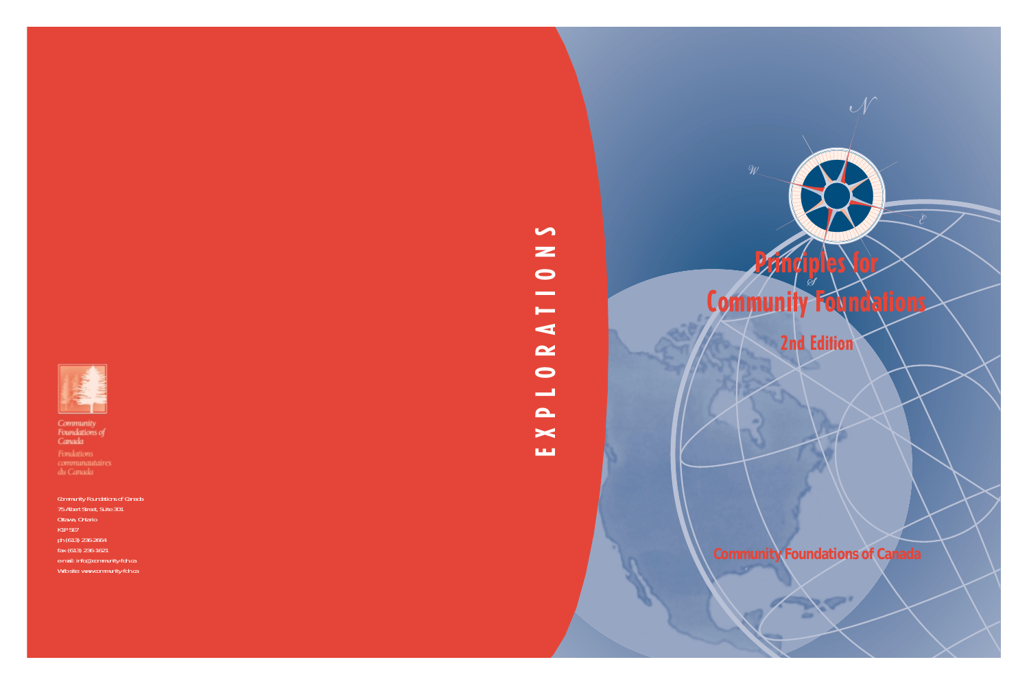

Community<br>Foundations of<br>Canada

communautaires<br>du Canada

Community Foundations of Canada 75 Albert Street, Suite 301 Ottawa, Ontario K1P 5E7 ph (613) 236-2664 fax (613) 236-1621 e-mail: info@community-fdn.ca Web site: www.community-fdn.ca

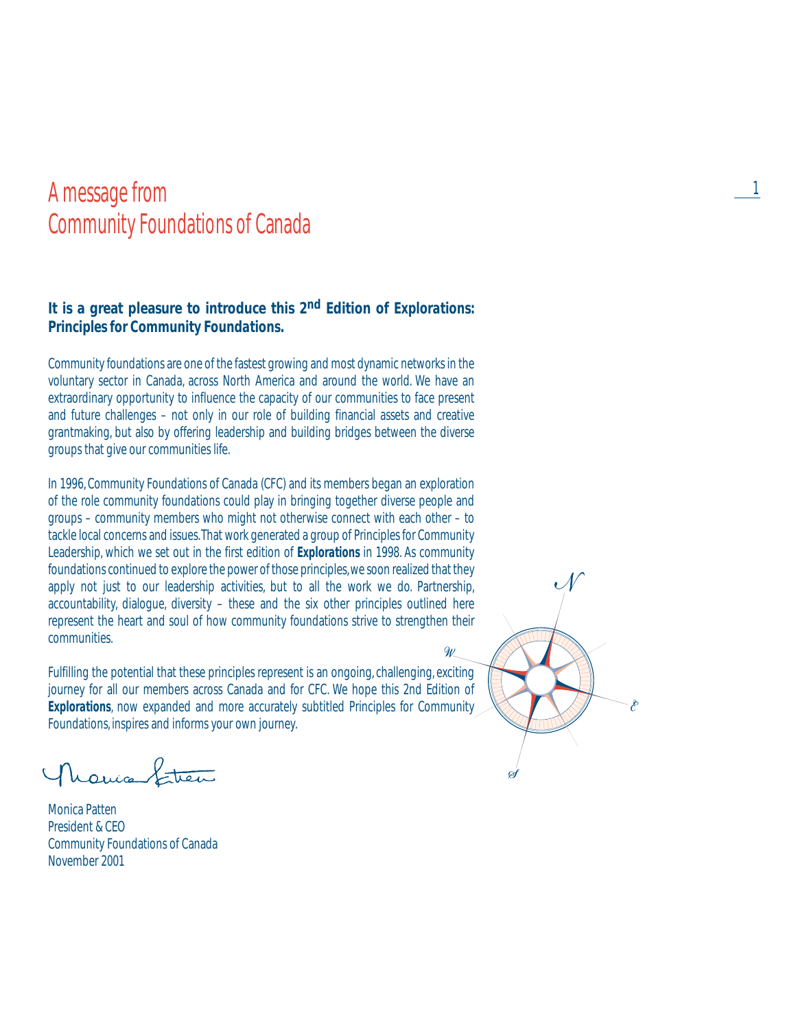# A message from the contract of the contract of the contract of the contract of the contract of the contract of the contract of the contract of the contract of the contract of the contract of the contract of the contract of Community Foundations of Canada

### **It is a great pleasure to introduce this 2nd Edition of** *Explorations: Principles for Community Foundations***.**

Community foundations are one of the fastest growing and most dynamic networks in the voluntary sector in Canada, across North America and around the world. We have an extraordinary opportunity to influence the capacity of our communities to face present and future challenges – not only in our role of building financial assets and creative grantmaking, but also by offering leadership and building bridges between the diverse groups that give our communities life.

In 1996, Community Foundations of Canada (CFC) and its members began an exploration of the role community foundations could play in bringing together diverse people and groups – community members who might not otherwise connect with each other – to tackle local concerns and issues.That work generated a group of Principles for Community Leadership, which we set out in the first edition of *Explorations* in 1998. As community foundations continued to explore the power of those principles, we soon realized that they apply not just to our leadership activities, but to all the work we do. Partnership, accountability, dialogue, diversity – these and the six other principles outlined here represent the heart and soul of how community foundations strive to strengthen their communities.

Fulfilling the potential that these principles represent is an ongoing, challenging, exciting journey for all our members across Canada and for CFC. We hope this 2nd Edition of **Explorations**, now expanded and more accurately subtitled Principles for Community Foundations, inspires and informs your own journey.

houis Street

Monica Patten President & CEO Community Foundations of Canada November 2001

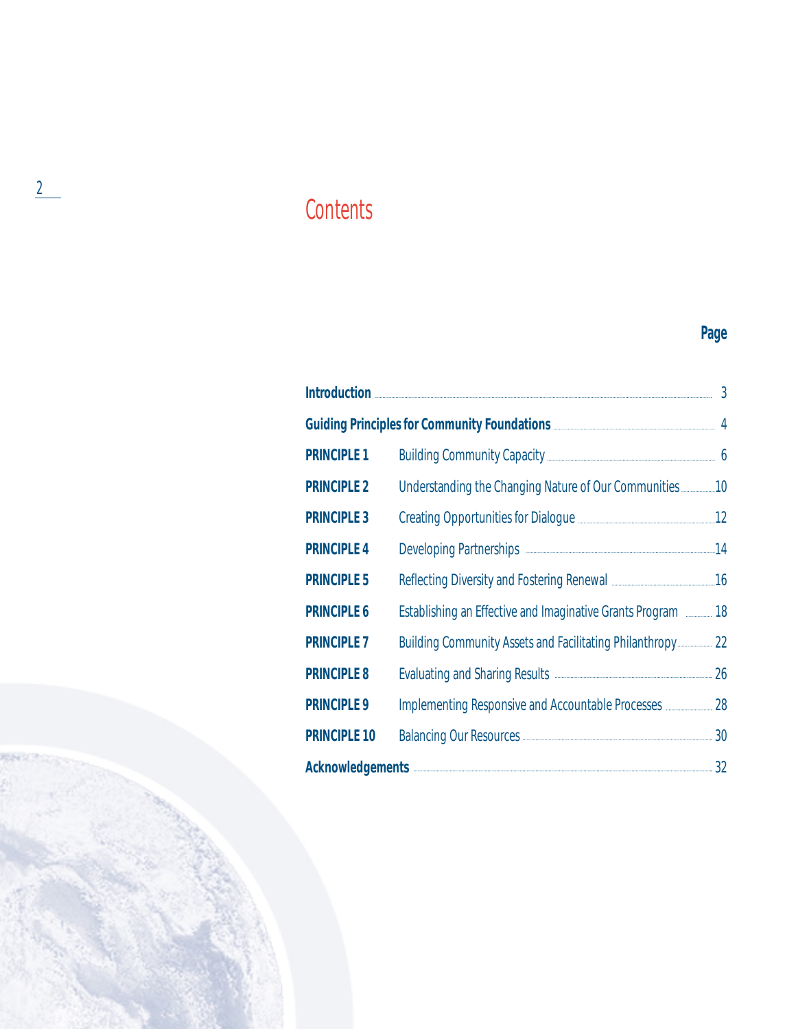# **Contents**

# **Page**

|                                                                  |                                                                         | $\overline{3}$ |
|------------------------------------------------------------------|-------------------------------------------------------------------------|----------------|
| Guiding Principles for Community Foundations <b>COMMUNITY 14</b> |                                                                         |                |
| <b>PRINCIPLE 1</b>                                               | Building Community Capacity <b>[2016]</b> 6                             |                |
| <b>PRINCIPLE 2</b>                                               |                                                                         |                |
| <b>PRINCIPLE 3</b>                                               | Creating Opportunities for Dialogue <b>Manual Accord 12</b> 12          |                |
| <b>PRINCIPLE 4</b>                                               |                                                                         |                |
| <b>PRINCIPLE 5</b>                                               | Reflecting Diversity and Fostering Renewal <b>Manual</b> 2016           |                |
| <b>PRINCIPLE 6</b>                                               | Establishing an Effective and Imaginative Grants Program <b>2008</b> 18 |                |
| <b>PRINCIPLE 7</b>                                               | <b>Building Community Assets and Facilitating Philanthropy</b> 22       |                |
| <b>PRINCIPLE 8</b>                                               | Evaluating and Sharing Results <b>Constanting</b> 26                    |                |
| <b>PRINCIPLE 9</b>                                               | Implementing Responsive and Accountable Processes <b>manual 28</b>      |                |
| <b>PRINCIPLE 10</b>                                              | Balancing Our Resources <b>Construction</b> 30                          |                |
| Acknowledgements 32                                              |                                                                         |                |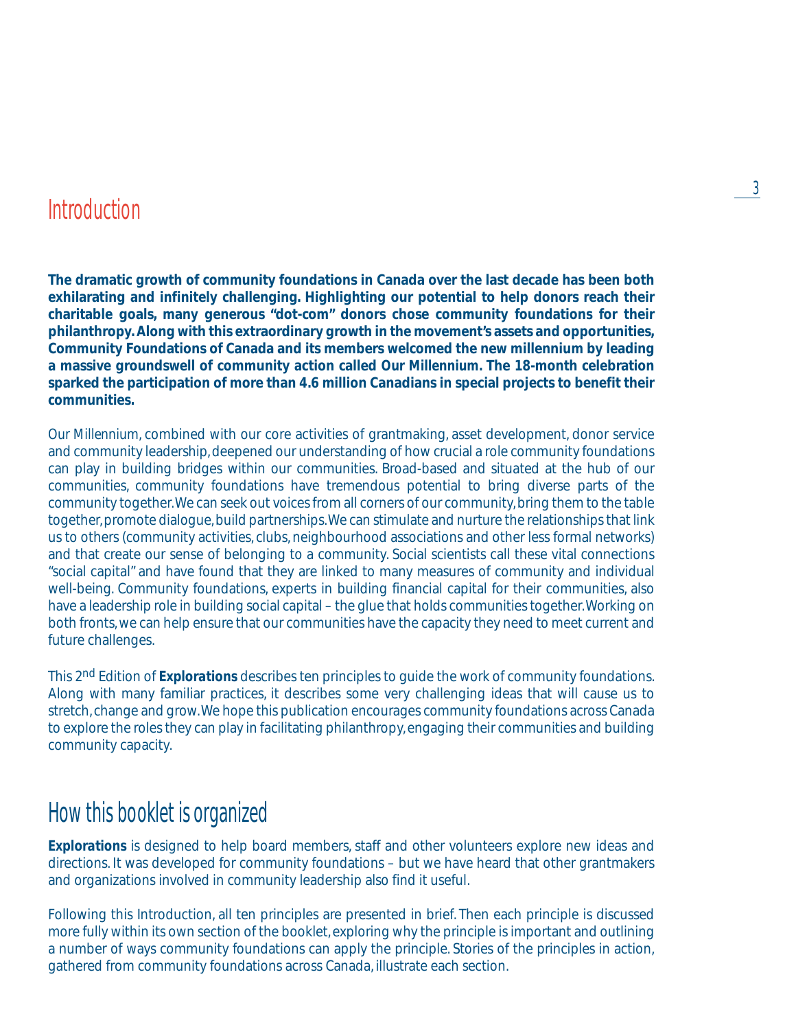# Introduction

**The dramatic growth of community foundations in Canada over the last decade has been both exhilarating and infinitely challenging. Highlighting our potential to help donors reach their charitable goals, many generous "dot-com" donors chose community foundations for their philanthropy. Along with this extraordinary growth in the movement's assets and opportunities, Community Foundations of Canada and its members welcomed the new millennium by leading a massive groundswell of community action called** *Our Millennium.* **The 18-month celebration sparked the participation of more than 4.6 million Canadians in special projects to benefit their communities.**

*Our Millennium*, combined with our core activities of grantmaking, asset development, donor service and community leadership, deepened our understanding of how crucial a role community foundations can play in building bridges within our communities. Broad-based and situated at the hub of our communities, community foundations have tremendous potential to bring diverse parts of the community together.We can seek out voices from all corners of our community, bring them to the table together, promote dialogue, build partnerships.We can stimulate and nurture the relationships that link us to others (community activities, clubs, neighbourhood associations and other less formal networks) and that create our sense of belonging to a community. Social scientists call these vital connections "social capital" and have found that they are linked to many measures of community and individual well-being. Community foundations, experts in building financial capital for their communities, also have a leadership role in building social capital – the glue that holds communities together.Working on both fronts, we can help ensure that our communities have the capacity they need to meet current and future challenges.

This 2nd Edition of *Explorations* describes ten principles to guide the work of community foundations. Along with many familiar practices, it describes some very challenging ideas that will cause us to stretch, change and grow.We hope this publication encourages community foundations across Canada to explore the roles they can play in facilitating philanthropy, engaging their communities and building community capacity.

# How this booklet is organized

**Explorations** is designed to help board members, staff and other volunteers explore new ideas and directions. It was developed for community foundations – but we have heard that other grantmakers and organizations involved in community leadership also find it useful.

Following this Introduction, all ten principles are presented in brief. Then each principle is discussed more fully within its own section of the booklet, exploring why the principle is important and outlining a number of ways community foundations can apply the principle. Stories of the principles in action, gathered from community foundations across Canada, illustrate each section.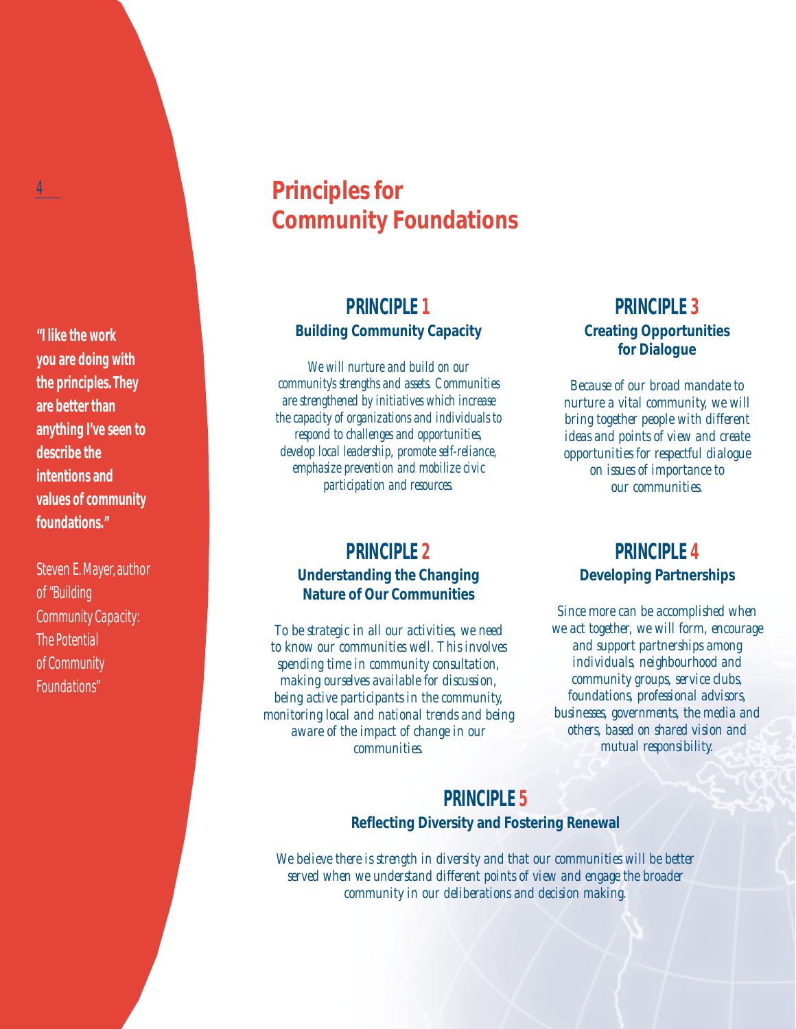**"I like the work you are doing with the principles. They are better than anything I've seen to describe the intentions and values of community foundations."**

Steven E. Mayer, author of *"Building Community Capacity: The Potential of Community Foundations"*

# **Principles for Community Foundations**

### **PRINCIPLE 1 Building Community Capacity**

*We will nurture and build on our community's strengths and assets. Communities are strengthened by initiatives which increase the capacity of organizations and individuals to respond to challenges and opportunities, develop local leadership, promote self-reliance, emphasize prevention and mobilize civic participation and resources.*

### **PRINCIPLE 2 Understanding the Changing Nature of Our Communities**

*To be strategic in all our activities, we need to know our communities well. This involves spending time in community consultation, making ourselves available for discussion, being active participants in the community, monitoring local and national trends and being aware of the impact of change in our communities.*

### **PRINCIPLE 3 Creating Opportunities for Dialogue**

*Because of our broad mandate to nurture a vital community, we will bring together people with different ideas and points of view and create opportunities for respectful dialogue on issues of importance to our communities.*

## **PRINCIPLE 4 Developing Partnerships**

*Since more can be accomplished when we act together, we will form, encourage and support partnerships among individuals, neighbourhood and community groups, service clubs, foundations, professional advisors, businesses, governments, the media and others, based on shared vision and mutual responsibility.*

### **PRINCIPLE 5 Reflecting Diversity and Fostering Renewal**

*We believe there is strength in diversity and that our communities will be better served when we understand different points of view and engage the broader community in our deliberations and decision making.*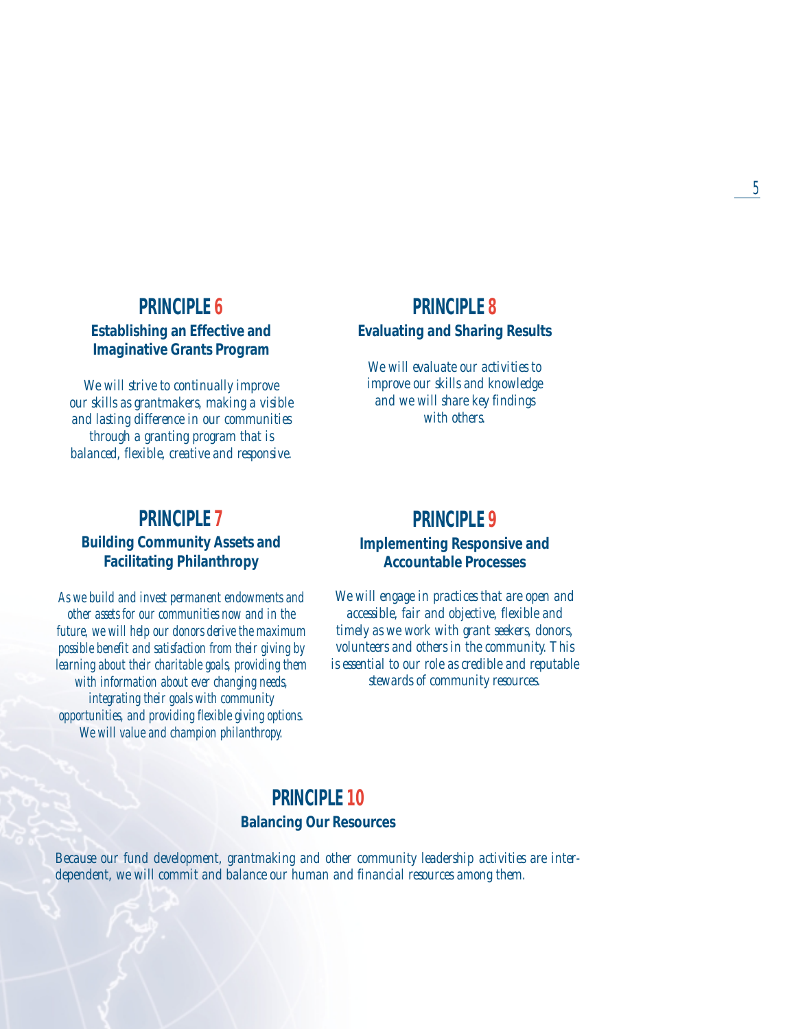### **PRINCIPLE 6 Establishing an Effective and Imaginative Grants Program**

*We will strive to continually improve our skills as grantmakers, making a visible and lasting difference in our communities through a granting program that is balanced, flexible, creative and responsive.*

### **PRINCIPLE 7 Building Community Assets and Facilitating Philanthropy**

*As we build and invest permanent endowments and other assets for our communities now and in the future, we will help our donors derive the maximum possible benefit and satisfaction from their giving by learning about their charitable goals, providing them with information about ever changing needs, integrating their goals with community opportunities, and providing flexible giving options. We will value and champion philanthropy.*

### **PRINCIPLE 8 Evaluating and Sharing Results**

*We will evaluate our activities to improve our skills and knowledge and we will share key findings with others.*

### **PRINCIPLE 9 Implementing Responsive and Accountable Processes**

*We will engage in practices that are open and accessible, fair and objective, flexible and timely as we work with grant seekers, donors, volunteers and others in the community. This is essential to our role as credible and reputable stewards of community resources.*

### **PRINCIPLE 10 Balancing Our Resources**

*Because our fund development, grantmaking and other community leadership activities are interdependent, we will commit and balance our human and financial resources among them.*

5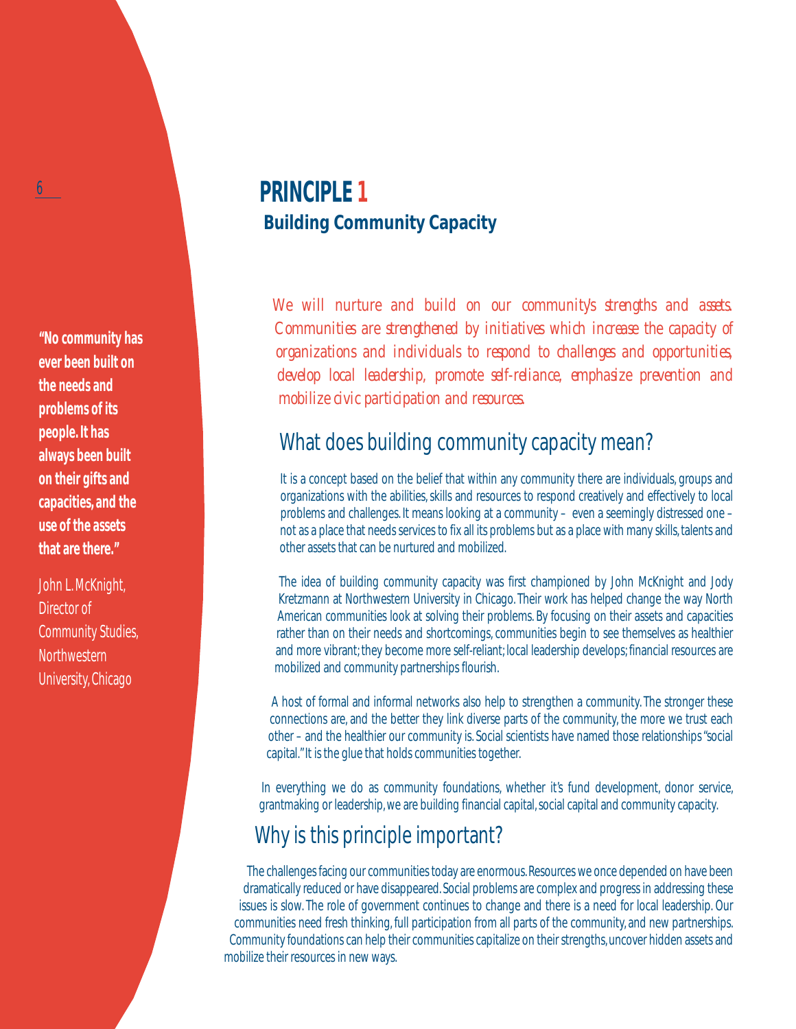**"No community has ever been built on the needs and problems of its people. It has always been built on their gifts and capacities, and the use of the assets that are there."**

 $\ddot{\mathbf{0}}$ 

John L. McKnight, Director of Community Studies, Northwestern University, Chicago

# **PRINCIPLE 1 Building Community Capacity**

*We will nurture and build on our community's strengths and assets. Communities are strengthened by initiatives which increase the capacity of organizations and individuals to respond to challenges and opportunities, develop local leadership, promote self-reliance, emphasize prevention and mobilize civic participation and resources.*

## What does building community capacity mean?

It is a concept based on the belief that within any community there are individuals, groups and organizations with the abilities, skills and resources to respond creatively and effectively to local problems and challenges. It means looking at a community – even a seemingly distressed one – not as a place that needs services to fix all its problems but as a place with many skills, talents and other assets that can be nurtured and mobilized.

The idea of building community capacity was first championed by John McKnight and Jody Kretzmann at Northwestern University in Chicago. Their work has helped change the way North American communities look at solving their problems. By focusing on their assets and capacities rather than on their needs and shortcomings, communities begin to see themselves as healthier and more vibrant; they become more self-reliant; local leadership develops; financial resources are mobilized and community partnerships flourish.

A host of formal and informal networks also help to strengthen a community. The stronger these connections are, and the better they link diverse parts of the community, the more we trust each other – and the healthier our community is. Social scientists have named those relationships "social capital." It is the glue that holds communities together.

In everything we do as community foundations, whether it's fund development, donor service, grantmaking or leadership, we are building financial capital, social capital and community capacity.

# Why is this principle important?

The challenges facing our communities today are enormous. Resources we once depended on have been dramatically reduced or have disappeared. Social problems are complex and progress in addressing these issues is slow. The role of government continues to change and there is a need for local leadership. Our communities need fresh thinking, full participation from all parts of the community, and new partnerships. Community foundations can help their communities capitalize on their strengths, uncover hidden assets and mobilize their resources in new ways.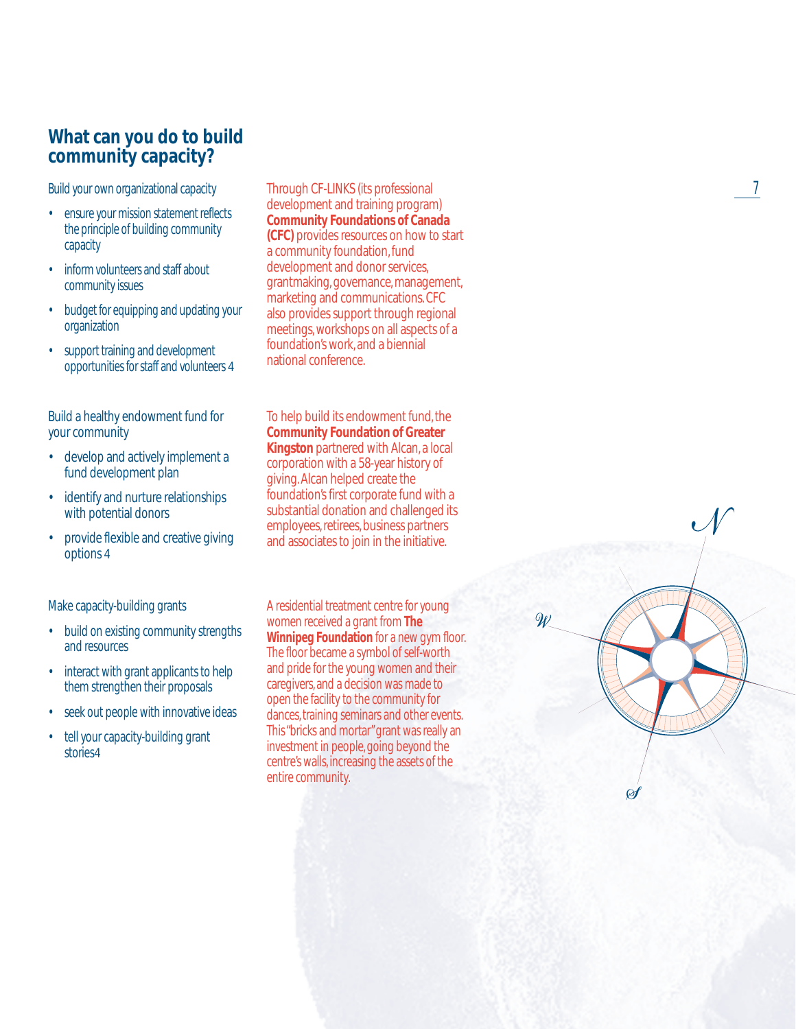### **What can you do to build community capacity?**

Build your own organizational capacity

- ensure your mission statement reflects the principle of building community capacity
- inform volunteers and staff about community issues
- budget for equipping and updating your organization
- support training and development opportunities for staff and volunteers 4

Build a healthy endowment fund for your community

- develop and actively implement a fund development plan
- identify and nurture relationships with potential donors
- provide flexible and creative giving options 4

Make capacity-building grants

- build on existing community strengths and resources
- interact with grant applicants to help them strengthen their proposals
- seek out people with innovative ideas
- tell your capacity-building grant stories4

Through CF-LINKS (its professional development and training program) **Community Foundations of Canada (CFC)** provides resources on how to start a community foundation, fund development and donor services, grantmaking, governance, management, marketing and communications. CFC also provides support through regional meetings, workshops on all aspects of a foundation's work, and a biennial national conference.

To help build its endowment fund, the **Community Foundation of Greater Kingston** partnered with Alcan, a local corporation with a 58-year history of giving. Alcan helped create the foundation's first corporate fund with a substantial donation and challenged its employees, retirees, business partners and associates to join in the initiative.

A residential treatment centre for young women received a grant from **The Winnipeg Foundation** for a new gym floor. The floor became a symbol of self-worth and pride for the young women and their caregivers, and a decision was made to open the facility to the community for dances, training seminars and other events. This "bricks and mortar"grant was really an investment in people, going beyond the centre's walls, increasing the assets of the entire community.



 $\overline{\mathscr{W}}$ 

7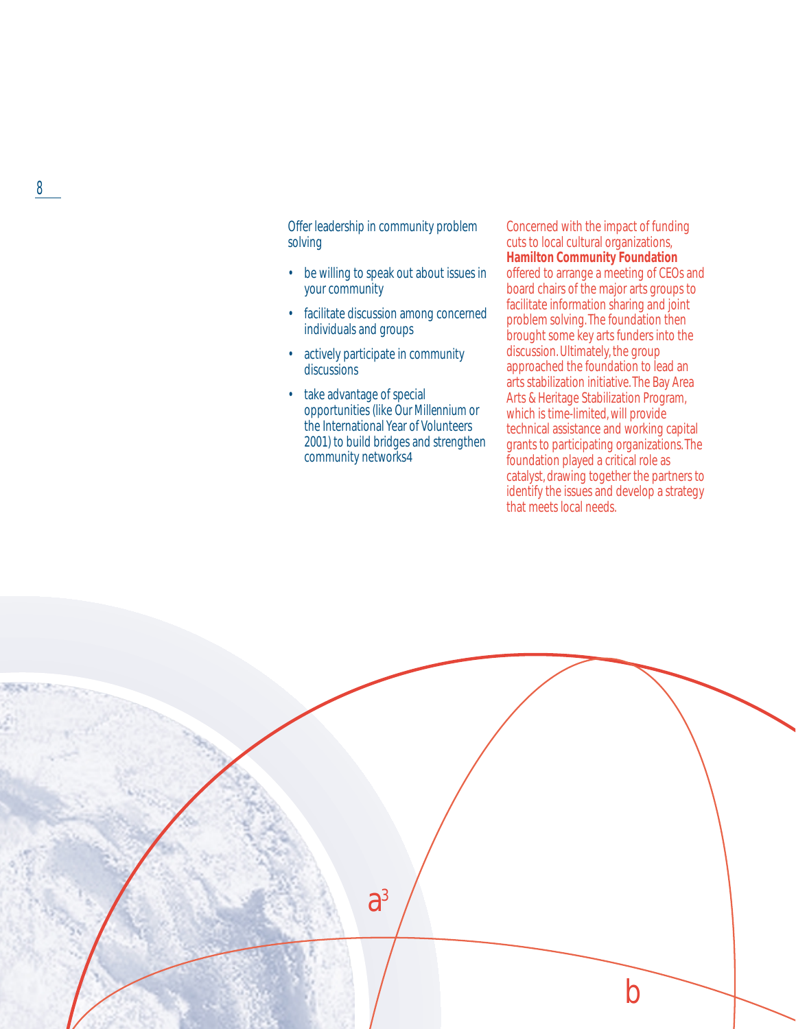Offer leadership in community problem solving

- be willing to speak out about issues in your community
- facilitate discussion among concerned individuals and groups
- actively participate in community discussions
- take advantage of special opportunities (like *Our Millennium* or the International Year of Volunteers 2001) to build bridges and strengthen community networks4

Concerned with the impact of funding cuts to local cultural organizations, **Hamilton Community Foundation** offered to arrange a meeting of CEOs and board chairs of the major arts groups to facilitate information sharing and joint problem solving. The foundation then brought some key arts funders into the discussion. Ultimately, the group approached the foundation to lead an arts stabilization initiative. The Bay Area Arts & Heritage Stabilization Program, which is time-limited, will provide technical assistance and working capital grants to participating organizations. The foundation played a critical role as catalyst, drawing together the partners to identify the issues and develop a strategy that meets local needs.

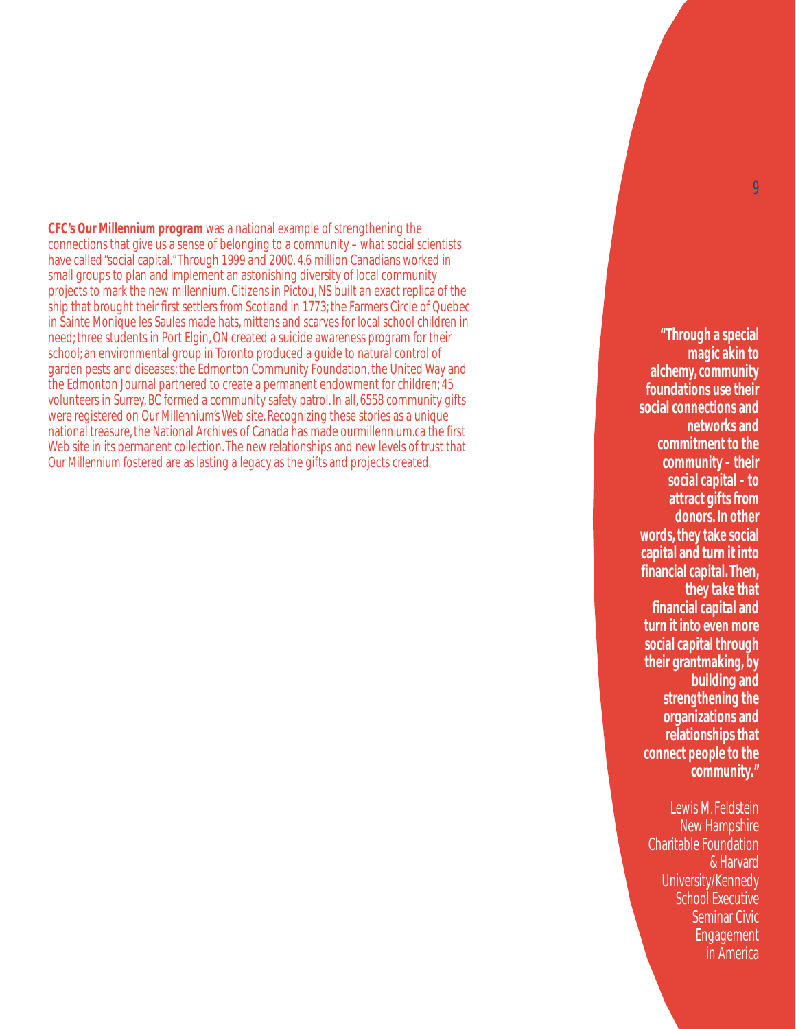**CFC's** *Our Millennium* **program** was a national example of strengthening the connections that give us a sense of belonging to a community – what social scientists have called "social capital."Through 1999 and 2000, 4.6 million Canadians worked in small groups to plan and implement an astonishing diversity of local community projects to mark the new millennium. Citizens in Pictou, NS built an exact replica of the ship that brought their first settlers from Scotland in 1773; the Farmers Circle of Quebec in Sainte Monique les Saules made hats, mittens and scarves for local school children in need; three students in Port Elgin, ON created a suicide awareness program for their school; an environmental group in Toronto produced a guide to natural control of garden pests and diseases; the Edmonton Community Foundation, the United Way and the Edmonton Journal partnered to create a permanent endowment for children; 45 volunteers in Surrey, BC formed a community safety patrol. In all, 6558 community gifts were registered on *Our Millennium's* Web site. Recognizing these stories as a unique national treasure, the National Archives of Canada has made ourmillennium.ca the first Web site in its permanent collection. The new relationships and new levels of trust that *Our Millennium* fostered are as lasting a legacy as the gifts and projects created.

**"Through a special magic akin to alchemy, community foundations use their social connections and networks and commitment to the community – their social capital – to attract gifts from donors. In other words, they take social capital and turn it into financial capital. Then, they take that financial capital and turn it into even more social capital through their grantmaking, by building and strengthening the organizations and relationships that connect people to the community."**

Lewis M. Feldstein New Hampshire Charitable Foundation & Harvard University/Kennedy School Executive Seminar Civic Engagement in America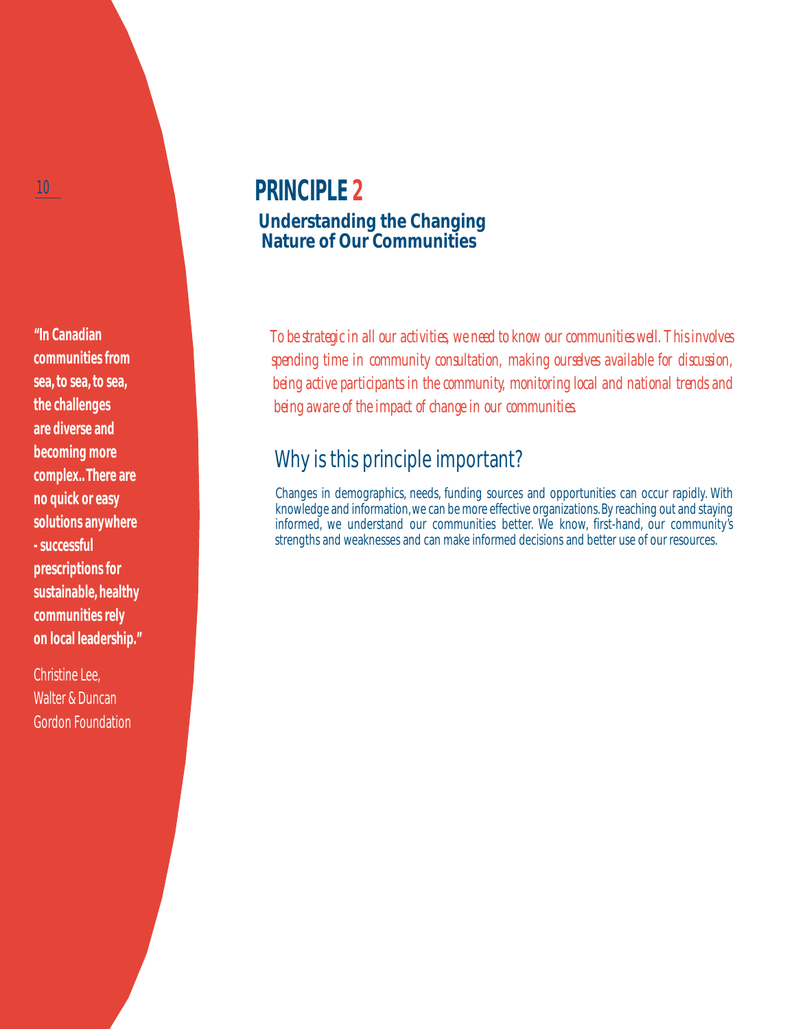**"In Canadian communities from sea, to sea, to sea, the challenges are diverse and becoming more complex.. There are no quick or easy solutions anywhere - successful prescriptions for sustainable, healthy communities rely on local leadership."**

Christine Lee, Walter & Duncan Gordon Foundation

# **PRINCIPLE 2 Understanding the Changing Nature of Our Communities**

*To be strategic in all our activities, we need to know our communities well. This involves spending time in community consultation, making ourselves available for discussion, being active participants in the community, monitoring local and national trends and being aware of the impact of change in our communities.*

# Why is this principle important?

Changes in demographics, needs, funding sources and opportunities can occur rapidly. With knowledge and information, we can be more effective organizations. By reaching out and staying informed, we understand our communities better. We know, first-hand, our community's strengths and weaknesses and can make informed decisions and better use of our resources.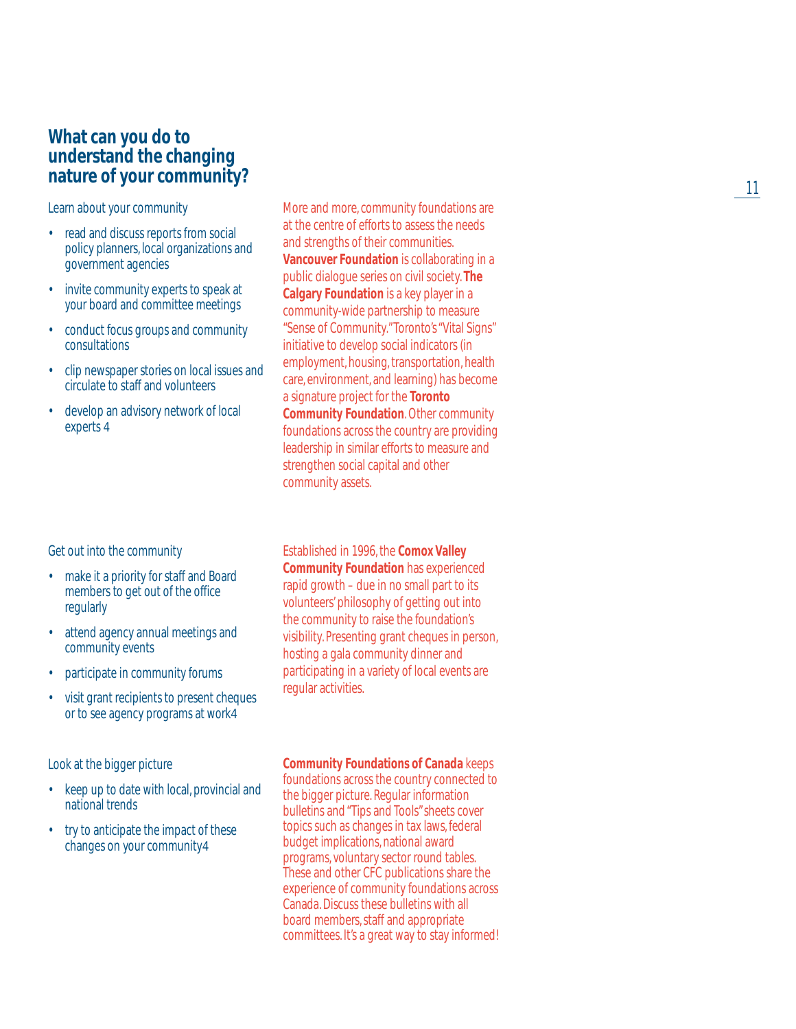### **What can you do to understand the changing nature of your community?**

Learn about your community

- read and discuss reports from social policy planners, local organizations and government agencies
- invite community experts to speak at your board and committee meetings
- conduct focus groups and community consultations
- clip newspaper stories on local issues and circulate to staff and volunteers
- develop an advisory network of local experts 4

Get out into the community

- make it a priority for staff and Board members to get out of the office regularly
- attend agency annual meetings and community events
- participate in community forums
- visit grant recipients to present cheques or to see agency programs at work4

Look at the bigger picture

- keep up to date with local, provincial and national trends
- try to anticipate the impact of these changes on your community4

More and more, community foundations are at the centre of efforts to assess the needs and strengths of their communities. **Vancouver Foundation** is collaborating in a public dialogue series on civil society. **The Calgary Foundation** is a key player in a community-wide partnership to measure "Sense of Community."Toronto's "Vital Signs" initiative to develop social indicators (in employment, housing, transportation, health care, environment, and learning) has become a signature project for the **Toronto Community Foundation**. Other community foundations across the country are providing leadership in similar efforts to measure and strengthen social capital and other community assets.

Established in 1996, the **Comox Valley Community Foundation** has experienced rapid growth – due in no small part to its volunteers' philosophy of getting out into the community to raise the foundation's visibility. Presenting grant cheques in person, hosting a gala community dinner and participating in a variety of local events are regular activities.

#### **Community Foundations of Canada** keeps

foundations across the country connected to the bigger picture. Regular information bulletins and "Tips and Tools" sheets cover topics such as changes in tax laws, federal budget implications, national award programs, voluntary sector round tables. These and other CFC publications share the experience of community foundations across Canada. Discuss these bulletins with all board members, staff and appropriate committees. It's a great way to stay informed!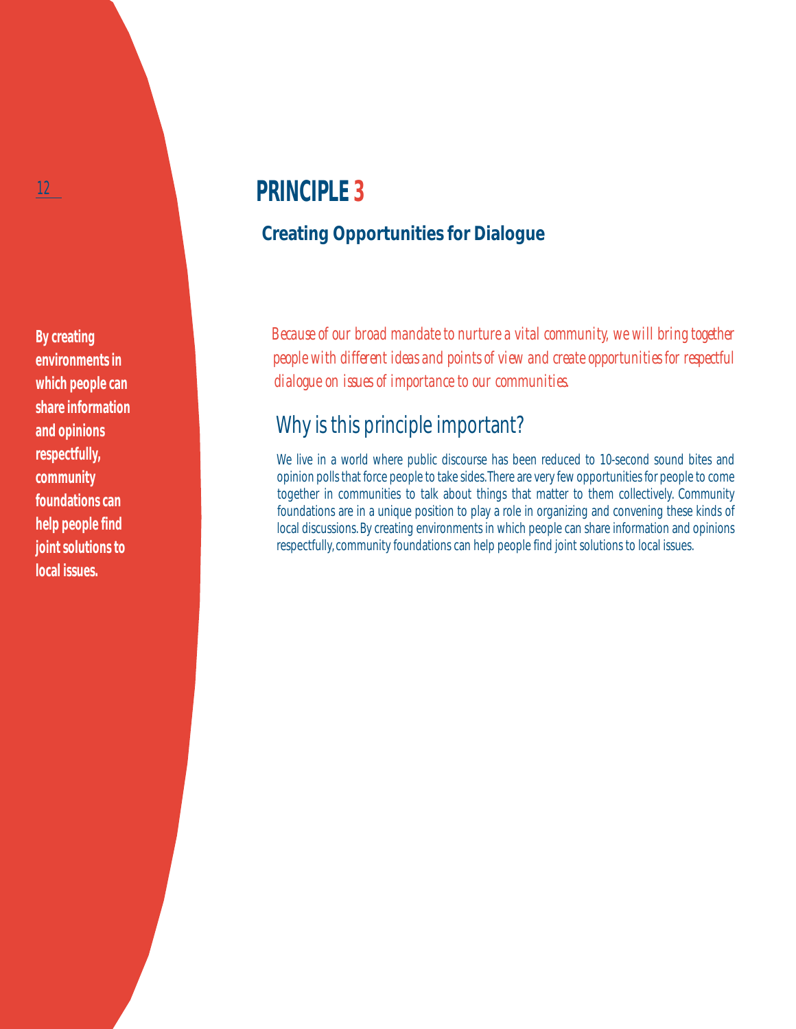**By creating environments in which people can share information and opinions respectfully, community foundations can help people find joint solutions to local issues.**

# **PRINCIPLE 3**

## **Creating Opportunities for Dialogue**

*Because of our broad mandate to nurture a vital community, we will bring together people with different ideas and points of view and create opportunities for respectful dialogue on issues of importance to our communities.*

# Why is this principle important?

We live in a world where public discourse has been reduced to 10-second sound bites and opinion polls that force people to take sides.There are very few opportunities for people to come together in communities to talk about things that matter to them collectively. Community foundations are in a unique position to play a role in organizing and convening these kinds of local discussions. By creating environments in which people can share information and opinions respectfully, community foundations can help people find joint solutions to local issues.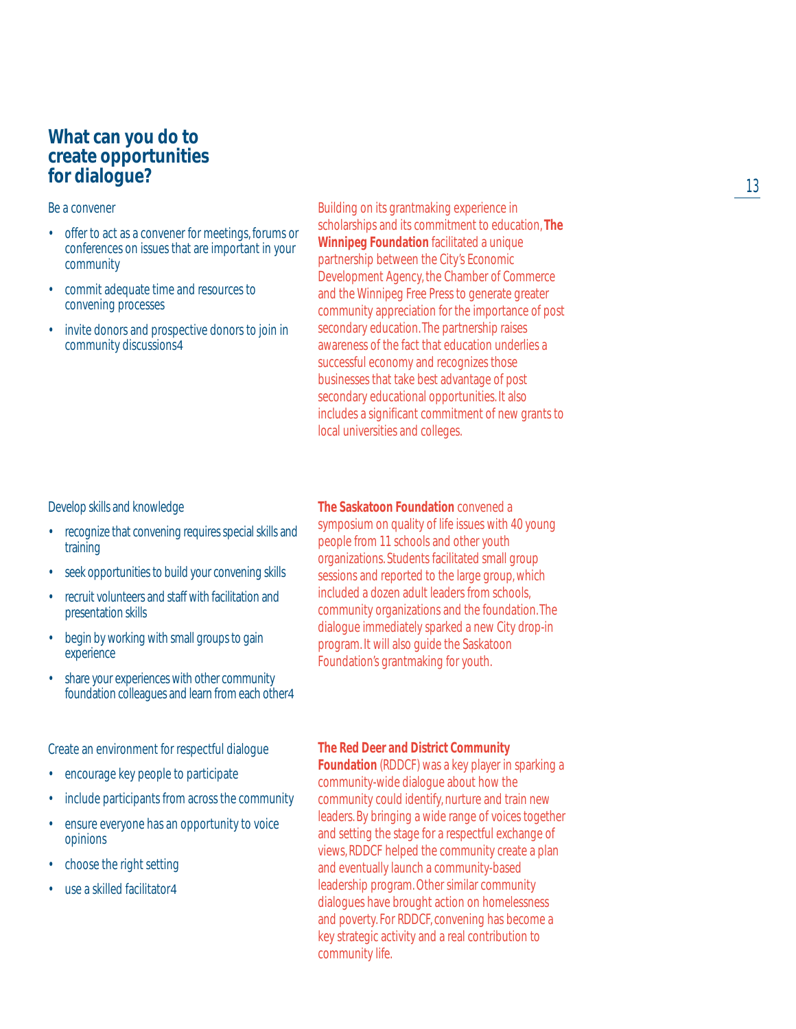### **What can you do to create opportunities for dialogue?**

#### Be a convener

- offer to act as a convener for meetings, forums or conferences on issues that are important in your community
- commit adequate time and resources to convening processes
- invite donors and prospective donors to join in community discussions4

Building on its grantmaking experience in scholarships and its commitment to education, **The Winnipeg Foundation** facilitated a unique partnership between the City's Economic Development Agency, the Chamber of Commerce and the Winnipeg Free Press to generate greater community appreciation for the importance of post secondary education. The partnership raises awareness of the fact that education underlies a successful economy and recognizes those businesses that take best advantage of post secondary educational opportunities. It also includes a significant commitment of new grants to local universities and colleges.

#### Develop skills and knowledge

- recognize that convening requires special skills and training
- seek opportunities to build your convening skills
- recruit volunteers and staff with facilitation and presentation skills
- begin by working with small groups to gain experience
- share your experiences with other community foundation colleagues and learn from each other4

Create an environment for respectful dialogue

- encourage key people to participate
- include participants from across the community
- ensure everyone has an opportunity to voice opinions
- choose the right setting
- use a skilled facilitator4

### **The Saskatoon Foundation** convened a

symposium on quality of life issues with 40 young people from 11 schools and other youth organizations. Students facilitated small group sessions and reported to the large group, which included a dozen adult leaders from schools, community organizations and the foundation. The dialogue immediately sparked a new City drop-in program. It will also guide the Saskatoon Foundation's grantmaking for youth.

#### **The Red Deer and District Community**

**Foundation** (RDDCF) was a key player in sparking a community-wide dialogue about how the community could identify, nurture and train new leaders. By bringing a wide range of voices together and setting the stage for a respectful exchange of views, RDDCF helped the community create a plan and eventually launch a community-based leadership program. Other similar community dialogues have brought action on homelessness and poverty. For RDDCF, convening has become a key strategic activity and a real contribution to community life.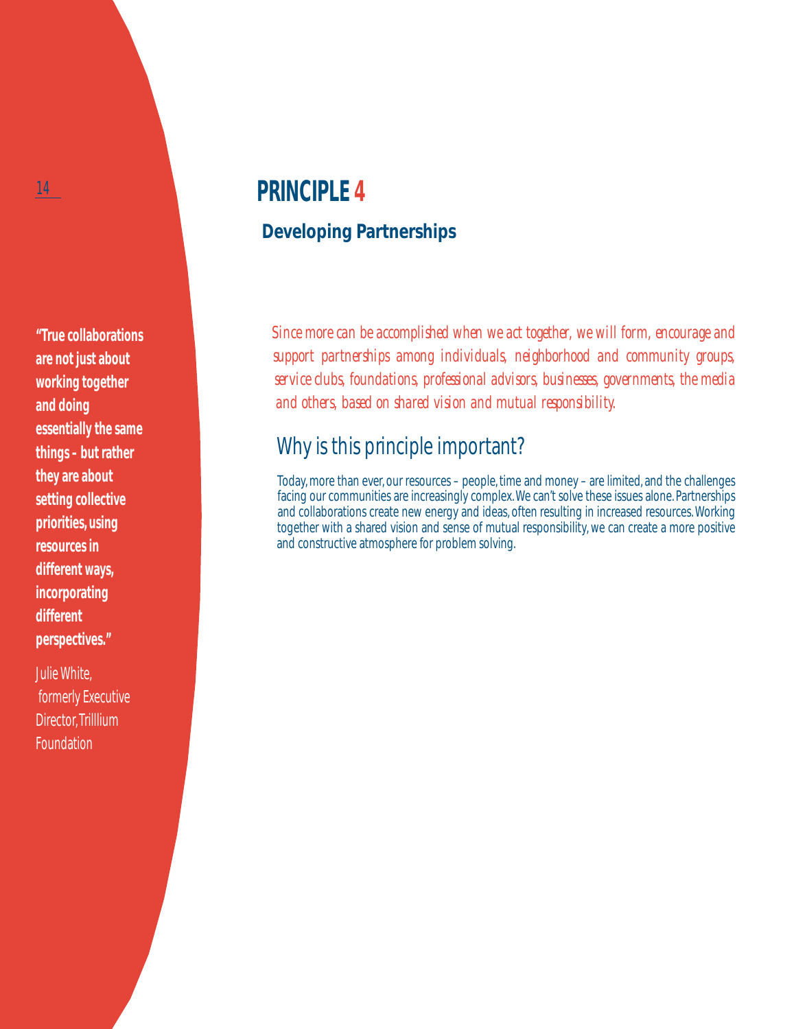**"True collaborations are not just about working together and doing essentially the same things – but rather they are about setting collective priorities, using resources in different ways, incorporating different perspectives."**

Julie White, formerly Executive Director, Trilllium Foundation

# **PRINCIPLE 4**

## **Developing Partnerships**

*Since more can be accomplished when we act together, we will form, encourage and support partnerships among individuals, neighborhood and community groups, service clubs, foundations, professional advisors, businesses, governments, the media and others, based on shared vision and mutual responsibility.*

## Why is this principle important?

Today, more than ever, our resources – people, time and money – are limited, and the challenges facing our communities are increasingly complex. We can't solve these issues alone. Partnerships and collaborations create new energy and ideas, often resulting in increased resources. Working together with a shared vision and sense of mutual responsibility, we can create a more positive and constructive atmosphere for problem solving.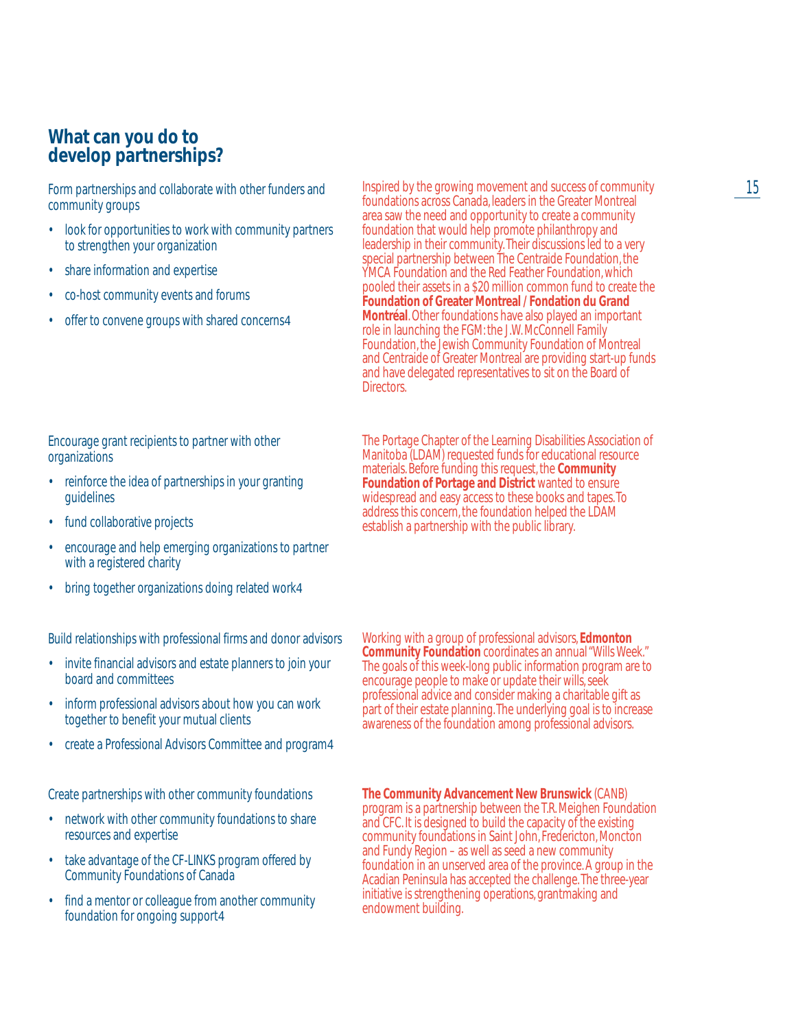### **What can you do to develop partnerships?**

Form partnerships and collaborate with other funders and community groups

- look for opportunities to work with community partners to strengthen your organization
- share information and expertise
- co-host community events and forums
- offer to convene groups with shared concerns4

### Encourage grant recipients to partner with other organizations

- reinforce the idea of partnerships in your granting guidelines
- fund collaborative projects
- encourage and help emerging organizations to partner with a registered charity
- bring together organizations doing related work4

Build relationships with professional firms and donor advisors

- invite financial advisors and estate planners to join your board and committees
- inform professional advisors about how you can work together to benefit your mutual clients
- create a Professional Advisors Committee and program4

Create partnerships with other community foundations

- network with other community foundations to share resources and expertise
- take advantage of the CF-LINKS program offered by Community Foundations of Canada
- find a mentor or colleague from another community foundation for ongoing support4

Inspired by the growing movement and success of community foundations across Canada, leaders in the Greater Montreal area saw the need and opportunity to create a community foundation that would help promote philanthropy and leadership in their community.Their discussions led to a very special partnership between The Centraide Foundation, the YMCA Foundation and the Red Feather Foundation, which pooled their assets in a \$20 million common fund to create the **Foundation of Greater Montreal / Fondation du Grand Montréal**. Other foundations have also played an important role in launching the FGM: the J.W. McConnell Family Foundation, the Jewish Community Foundation of Montreal and Centraide of Greater Montreal are providing start-up funds and have delegated representatives to sit on the Board of Directors.

The Portage Chapter of the Learning Disabilities Association of Manitoba (LDAM) requested funds for educational resource materials. Before funding this request, the **Community Foundation of Portage and District** wanted to ensure widespread and easy access to these books and tapes.To address this concern, the foundation helped the LDAM establish a partnership with the public library.

Working with a group of professional advisors, **Edmonton Community Foundation** coordinates an annual "Wills Week." The goals of this week-long public information program are to encourage people to make or update their wills, seek professional advice and consider making a charitable gift as part of their estate planning.The underlying goal is to increase awareness of the foundation among professional advisors.

**The Community Advancement New Brunswick** (CANB) program is a partnership between the T.R. Meighen Foundation and CFC. It is designed to build the capacity of the existing community foundations in Saint John, Fredericton, Moncton and Fundy Region – as well as seed a new community foundation in an unserved area of the province. A group in the Acadian Peninsula has accepted the challenge.The three-year initiative is strengthening operations, grantmaking and endowment building.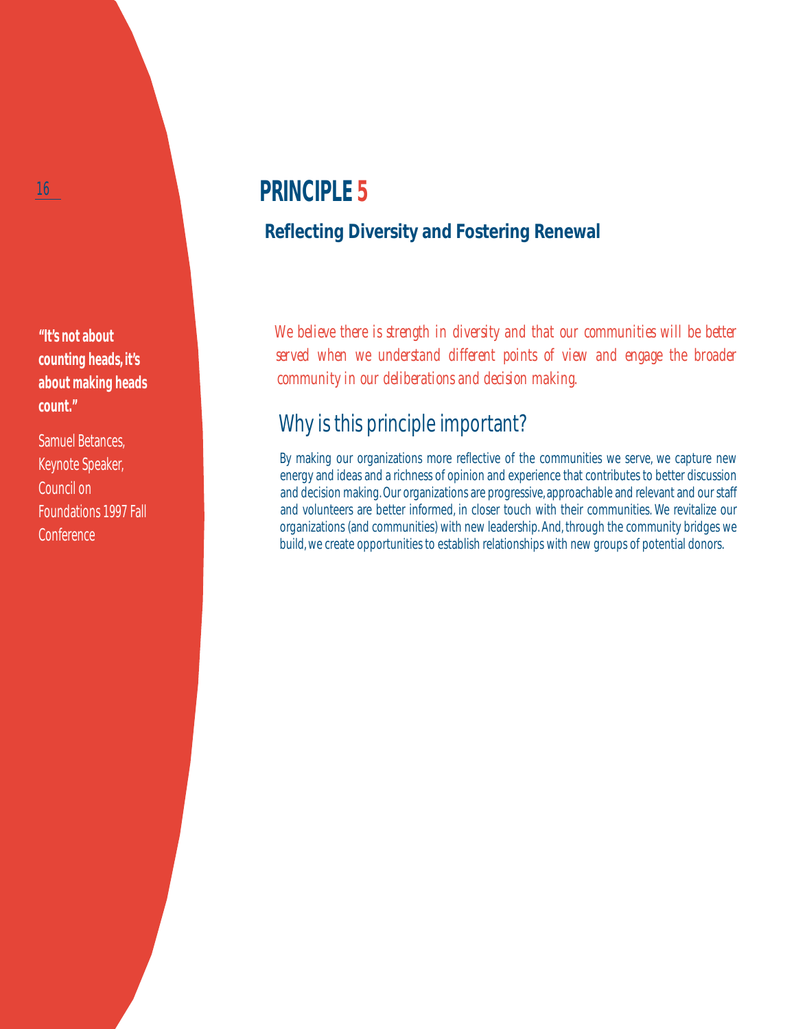**"It's not about counting heads, it's about making heads count."**

Samuel Betances, Keynote Speaker, Council on Foundations 1997 Fall **Conference** 

# **PRINCIPLE 5**

## **Reflecting Diversity and Fostering Renewal**

*We believe there is strength in diversity and that our communities will be better served when we understand different points of view and engage the broader community in our deliberations and decision making.*

# Why is this principle important?

By making our organizations more reflective of the communities we serve, we capture new energy and ideas and a richness of opinion and experience that contributes to better discussion and decision making. Our organizations are progressive, approachable and relevant and our staff and volunteers are better informed, in closer touch with their communities. We revitalize our organizations (and communities) with new leadership. And, through the community bridges we build, we create opportunities to establish relationships with new groups of potential donors.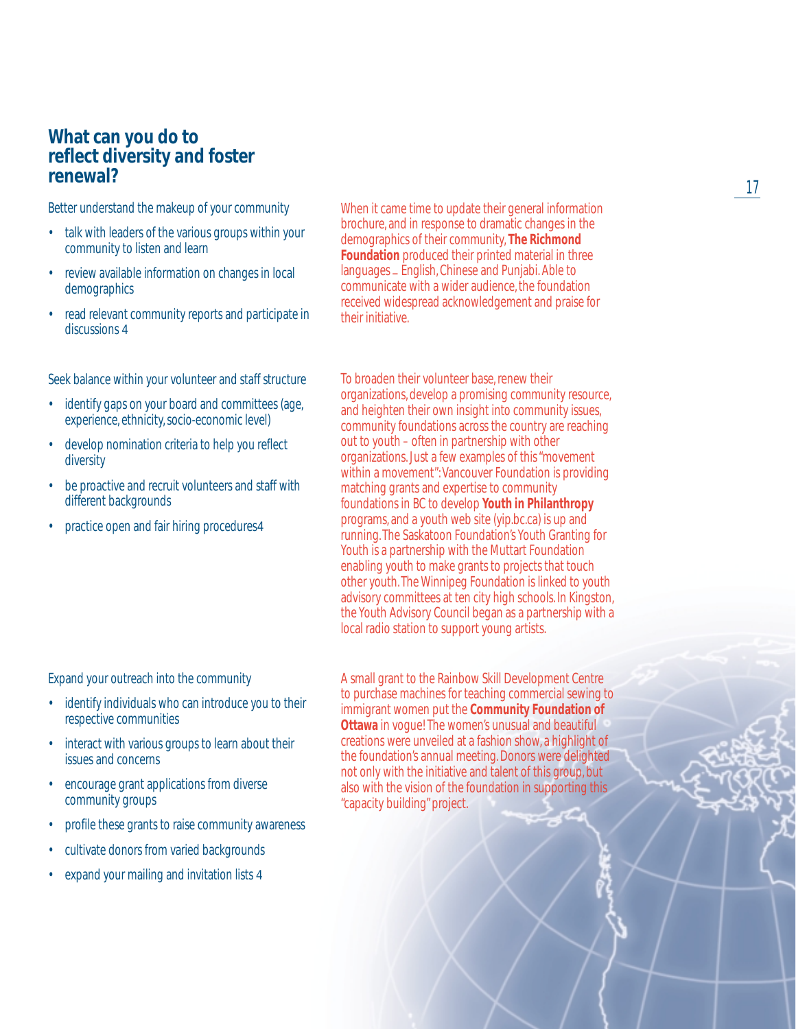### **What can you do to reflect diversity and foster renewal?**

Better understand the makeup of your community

- talk with leaders of the various groups within your community to listen and learn
- review available information on changes in local demographics
- read relevant community reports and participate in discussions 4

Seek balance within your volunteer and staff structure

- identify gaps on your board and committees (age, experience, ethnicity, socio-economic level)
- develop nomination criteria to help you reflect diversity
- be proactive and recruit volunteers and staff with different backgrounds
- practice open and fair hiring procedures4

When it came time to update their general information brochure, and in response to dramatic changes in the demographics of their community, **The Richmond Foundation** produced their printed material in three languages - English, Chinese and Punjabi. Able to communicate with a wider audience, the foundation received widespread acknowledgement and praise for their initiative.

To broaden their volunteer base, renew their organizations, develop a promising community resource, and heighten their own insight into community issues, community foundations across the country are reaching out to youth – often in partnership with other organizations. Just a few examples of this "movement within a movement": Vancouver Foundation is providing matching grants and expertise to community foundations in BC to develop **Youth in Philanthropy** programs, and a youth web site (yip.bc.ca) is up and running. The Saskatoon Foundation's Youth Granting for Youth is a partnership with the Muttart Foundation enabling youth to make grants to projects that touch other youth. The Winnipeg Foundation is linked to youth advisory committees at ten city high schools. In Kingston, the Youth Advisory Council began as a partnership with a local radio station to support young artists.

Expand your outreach into the community

- identify individuals who can introduce you to their respective communities
- interact with various groups to learn about their issues and concerns
- encourage grant applications from diverse community groups
- profile these grants to raise community awareness
- cultivate donors from varied backgrounds
- expand your mailing and invitation lists 4

A small grant to the Rainbow Skill Development Centre to purchase machines for teaching commercial sewing to immigrant women put the **Community Foundation of Ottawa** in vogue! The women's unusual and beautiful creations were unveiled at a fashion show, a highlight of the foundation's annual meeting. Donors were delighted not only with the initiative and talent of this group, but also with the vision of the foundation in supporting this "capacity building" project.

17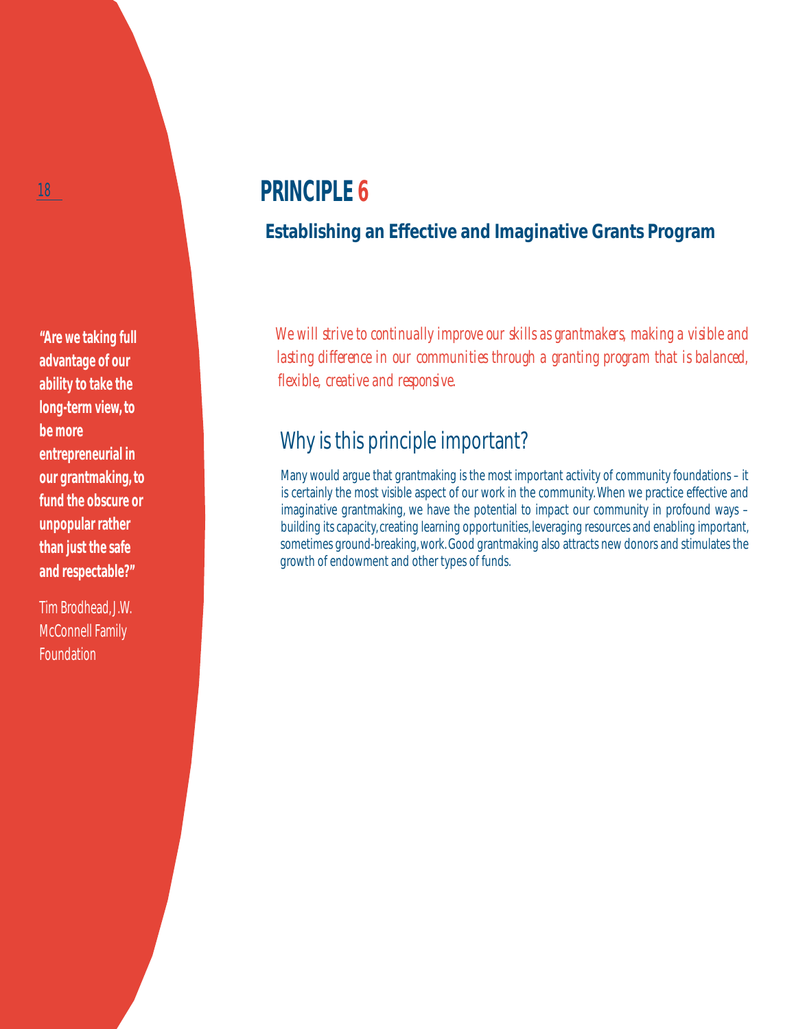**"Are we taking full advantage of our ability to take the long-term view, to be more entrepreneurial in our grantmaking, to fund the obscure or unpopular rather than just the safe and respectable?"**

Tim Brodhead, J.W. McConnell Family Foundation

# **PRINCIPLE 6**

## **Establishing an Effective and Imaginative Grants Program**

*We will strive to continually improve our skills as grantmakers, making a visible and lasting difference in our communities through a granting program that is balanced, flexible, creative and responsive.*

# Why is this principle important?

Many would argue that grantmaking is the most important activity of community foundations – it is certainly the most visible aspect of our work in the community. When we practice effective and imaginative grantmaking, we have the potential to impact our community in profound ways – building its capacity, creating learning opportunities, leveraging resources and enabling important, sometimes ground-breaking, work. Good grantmaking also attracts new donors and stimulates the growth of endowment and other types of funds.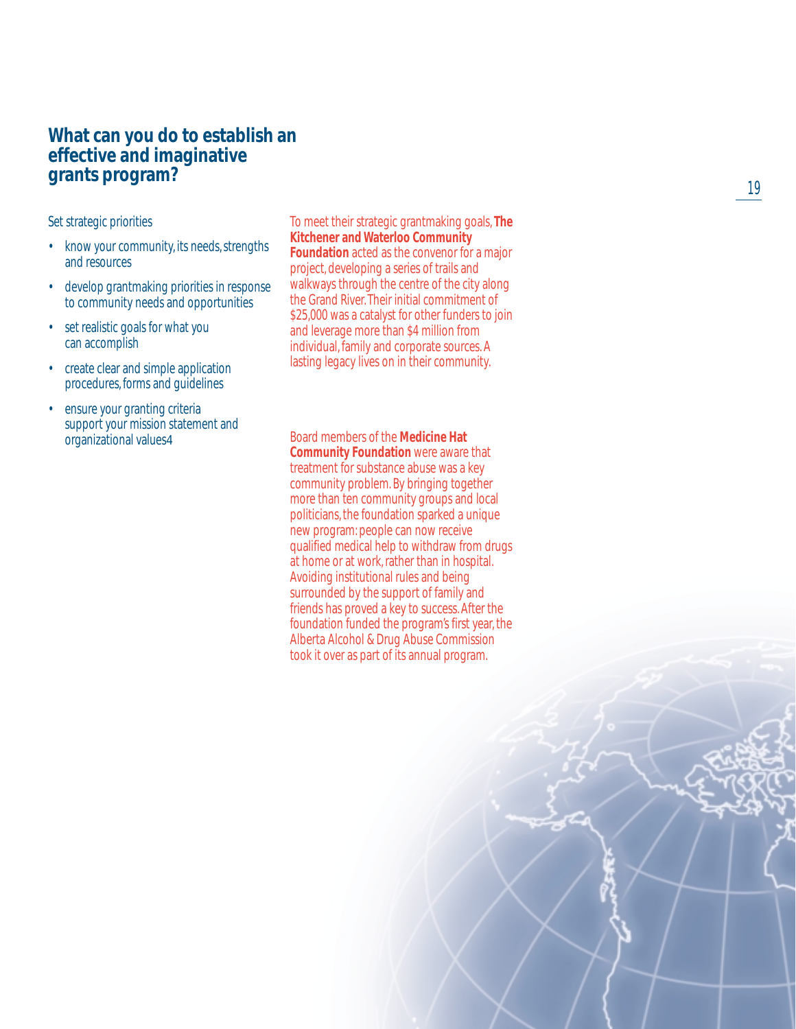### **What can you do to establish an effective and imaginative grants program?**

Set strategic priorities

- know your community, its needs, strengths and resources
- develop grantmaking priorities in response to community needs and opportunities
- set realistic goals for what you can accomplish
- create clear and simple application procedures, forms and guidelines
- ensure your granting criteria support your mission statement and organizational values4

To meet their strategic grantmaking goals, **The Kitchener and Waterloo Community Foundation** acted as the convenor for a major

project, developing a series of trails and walkways through the centre of the city along the Grand River. Their initial commitment of \$25,000 was a catalyst for other funders to join and leverage more than \$4 million from individual, family and corporate sources. A lasting legacy lives on in their community.

Board members of the **Medicine Hat Community Foundation** were aware that treatment for substance abuse was a key community problem. By bringing together more than ten community groups and local politicians, the foundation sparked a unique new program: people can now receive qualified medical help to withdraw from drugs at home or at work, rather than in hospital. Avoiding institutional rules and being surrounded by the support of family and friends has proved a key to success. After the foundation funded the program's first year, the Alberta Alcohol & Drug Abuse Commission took it over as part of its annual program.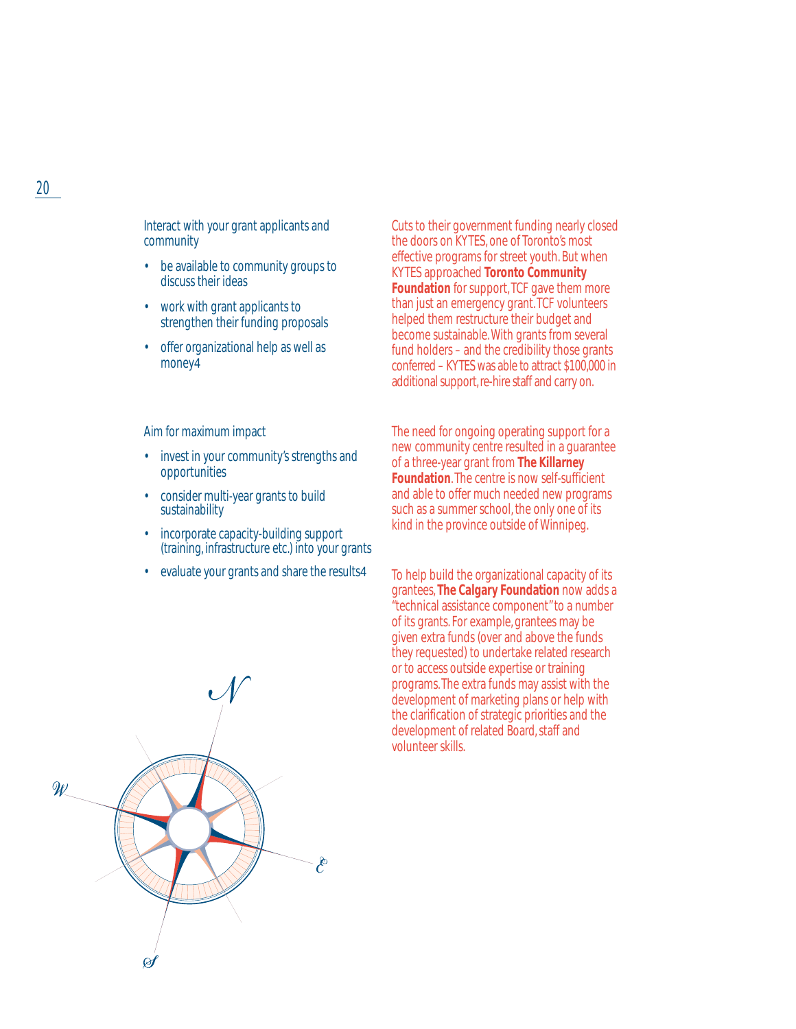Interact with your grant applicants and community

- be available to community groups to discuss their ideas
- work with grant applicants to strengthen their funding proposals
- offer organizational help as well as money4

Aim for maximum impact

- invest in your community's strengths and opportunities
- consider multi-year grants to build sustainability
- incorporate capacity-building support (training, infrastructure etc.) into your grants
- evaluate your grants and share the results4

Cuts to their government funding nearly closed the doors on KYTES, one of Toronto's most effective programs for street youth. But when KYTES approached **Toronto Community Foundation** for support, TCF gave them more than just an emergency grant. TCF volunteers helped them restructure their budget and become sustainable. With grants from several fund holders – and the credibility those grants conferred – KYTES was able to attract \$100,000 in additional support, re-hire staff and carry on.

The need for ongoing operating support for a new community centre resulted in a guarantee of a three-year grant from **The Killarney Foundation**. The centre is now self-sufficient and able to offer much needed new programs such as a summer school, the only one of its kind in the province outside of Winnipeg.

To help build the organizational capacity of its grantees, **The Calgary Foundation** now adds a "technical assistance component" to a number of its grants. For example, grantees may be given extra funds (over and above the funds they requested) to undertake related research or to access outside expertise or training programs. The extra funds may assist with the development of marketing plans or help with the clarification of strategic priorities and the development of related Board, staff and volunteer skills.



### 20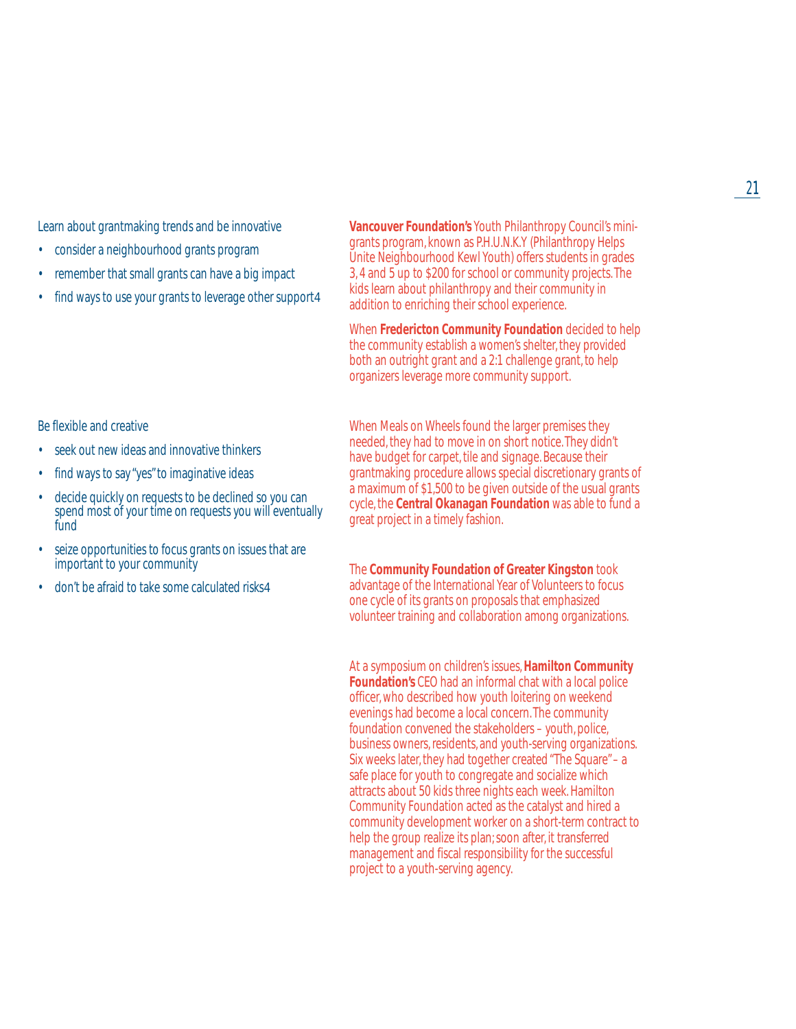Learn about grantmaking trends and be innovative

- consider a neighbourhood grants program
- remember that small grants can have a big impact
- find ways to use your grants to leverage other support4

Be flexible and creative

- seek out new ideas and innovative thinkers
- find ways to say "yes" to imaginative ideas
- decide quickly on requests to be declined so you can spend most of your time on requests you will eventually fund
- seize opportunities to focus grants on issues that are important to your community
- don't be afraid to take some calculated risks4

**Vancouver Foundation's** Youth Philanthropy Council's minigrants program, known as P.H.U.N.K.Y (Philanthropy Helps Unite Neighbourhood Kewl Youth) offers students in grades 3, 4 and 5 up to \$200 for school or community projects. The kids learn about philanthropy and their community in addition to enriching their school experience.

When **Fredericton Community Foundation** decided to help the community establish a women's shelter, they provided both an outright grant and a 2:1 challenge grant, to help organizers leverage more community support.

When Meals on Wheels found the larger premises they needed, they had to move in on short notice. They didn't have budget for carpet, tile and signage. Because their grantmaking procedure allows special discretionary grants of a maximum of \$1,500 to be given outside of the usual grants cycle, the **Central Okanagan Foundation** was able to fund a great project in a timely fashion.

The **Community Foundation of Greater Kingston** took advantage of the International Year of Volunteers to focus one cycle of its grants on proposals that emphasized volunteer training and collaboration among organizations.

At a symposium on children's issues,**Hamilton Community Foundation's** CEO had an informal chat with a local police officer, who described how youth loitering on weekend evenings had become a local concern. The community foundation convened the stakeholders – youth, police, business owners, residents, and youth-serving organizations. Six weeks later, they had together created "The Square" – a safe place for youth to congregate and socialize which attracts about 50 kids three nights each week. Hamilton Community Foundation acted as the catalyst and hired a community development worker on a short-term contract to help the group realize its plan; soon after, it transferred management and fiscal responsibility for the successful project to a youth-serving agency.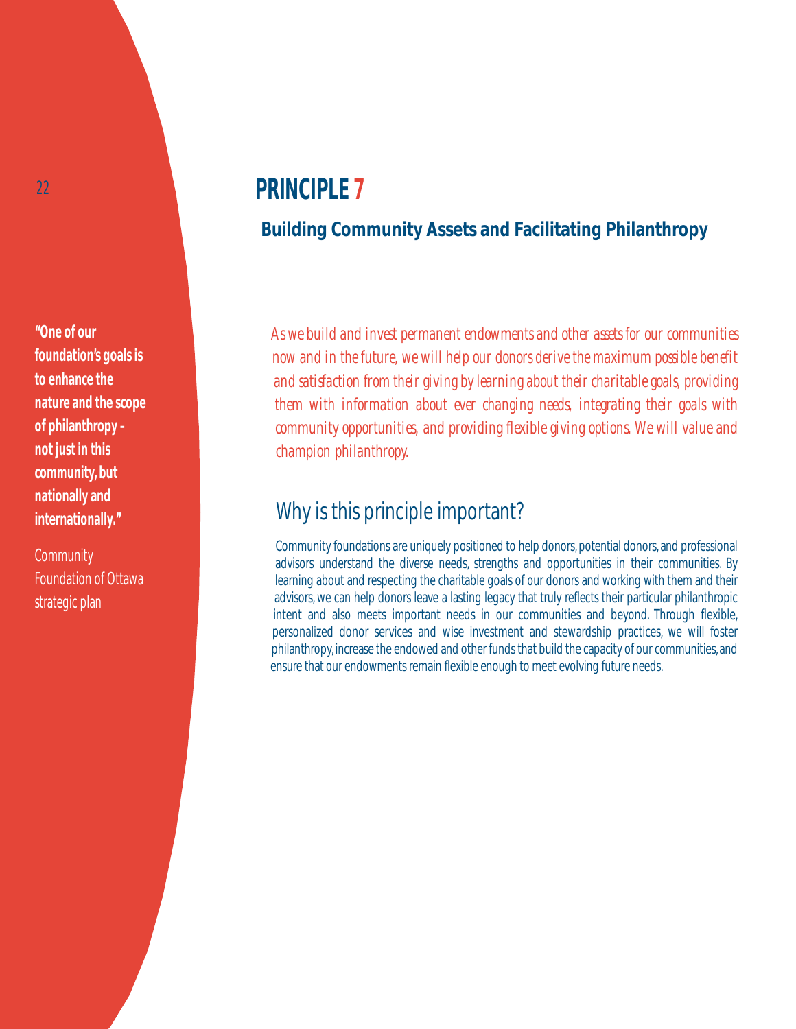**"One of our foundation's goals is to enhance the nature and the scope of philanthropy – not just in this community, but nationally and internationally."**

**Community** Foundation of Ottawa strategic plan

# **PRINCIPLE 7**

## **Building Community Assets and Facilitating Philanthropy**

*As we build and invest permanent endowments and other assets for our communities now and in the future, we will help our donors derive the maximum possible benefit and satisfaction from their giving by learning about their charitable goals, providing them with information about ever changing needs, integrating their goals with community opportunities, and providing flexible giving options. We will value and champion philanthropy.*

## Why is this principle important?

Community foundations are uniquely positioned to help donors, potential donors, and professional advisors understand the diverse needs, strengths and opportunities in their communities. By learning about and respecting the charitable goals of our donors and working with them and their advisors, we can help donors leave a lasting legacy that truly reflects their particular philanthropic intent and also meets important needs in our communities and beyond. Through flexible, personalized donor services and wise investment and stewardship practices, we will foster philanthropy, increase the endowed and other funds that build the capacity of our communities, and ensure that our endowments remain flexible enough to meet evolving future needs.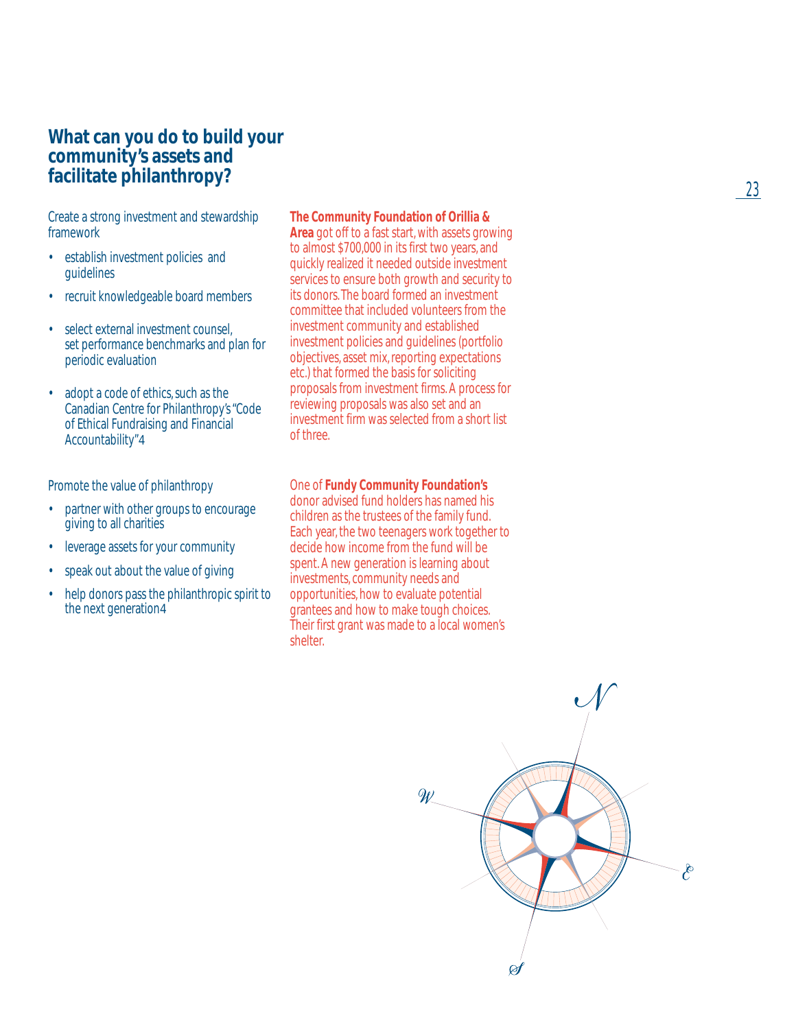### **What can you do to build your community's assets and facilitate philanthropy?**

Create a strong investment and stewardship framework

- establish investment policies and guidelines
- recruit knowledgeable board members
- select external investment counsel, set performance benchmarks and plan for periodic evaluation
- adopt a code of ethics, such as the Canadian Centre for Philanthropy's "Code of Ethical Fundraising and Financial Accountability"4

Promote the value of philanthropy

- partner with other groups to encourage giving to all charities
- leverage assets for your community
- speak out about the value of giving
- help donors pass the philanthropic spirit to the next generation 4

#### **The Community Foundation of Orillia &**

**Area** got off to a fast start, with assets growing to almost \$700,000 in its first two years, and quickly realized it needed outside investment services to ensure both growth and security to its donors. The board formed an investment committee that included volunteers from the investment community and established investment policies and guidelines (portfolio objectives, asset mix, reporting expectations etc.) that formed the basis for soliciting proposals from investment firms. A process for reviewing proposals was also set and an investment firm was selected from a short list of three.

### One of **Fundy Community Foundation's**

donor advised fund holders has named his children as the trustees of the family fund. Each year, the two teenagers work together to decide how income from the fund will be spent. A new generation is learning about investments, community needs and opportunities, how to evaluate potential grantees and how to make tough choices. Their first grant was made to a local women's shelter.

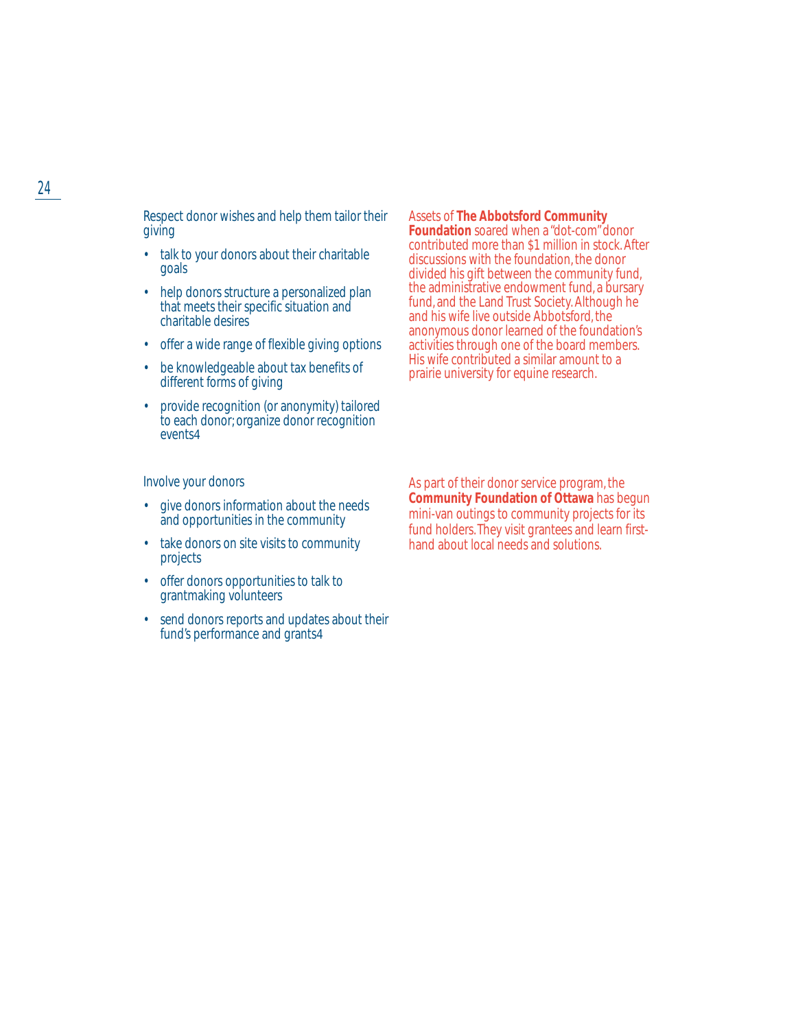Respect donor wishes and help them tailor their giving

- talk to your donors about their charitable goals
- help donors structure a personalized plan that meets their specific situation and charitable desires
- offer a wide range of flexible giving options
- be knowledgeable about tax benefits of different forms of giving
- provide recognition (or anonymity) tailored to each donor; organize donor recognition events4

#### Assets of **The Abbotsford Community**

**Foundation** soared when a "dot-com" donor contributed more than \$1 million in stock. After discussions with the foundation, the donor divided his gift between the community fund, the administrative endowment fund, a bursary fund, and the Land Trust Society. Although he and his wife live outside Abbotsford, the anonymous donor learned of the foundation's activities through one of the board members. His wife contributed a similar amount to a prairie university for equine research.

Involve your donors

- give donors information about the needs and opportunities in the community
- take donors on site visits to community projects
- offer donors opportunities to talk to grantmaking volunteers
- send donors reports and updates about their fund's performance and grants4

As part of their donor service program, the **Community Foundation of Ottawa** has begun mini-van outings to community projects for its fund holders. They visit grantees and learn firsthand about local needs and solutions.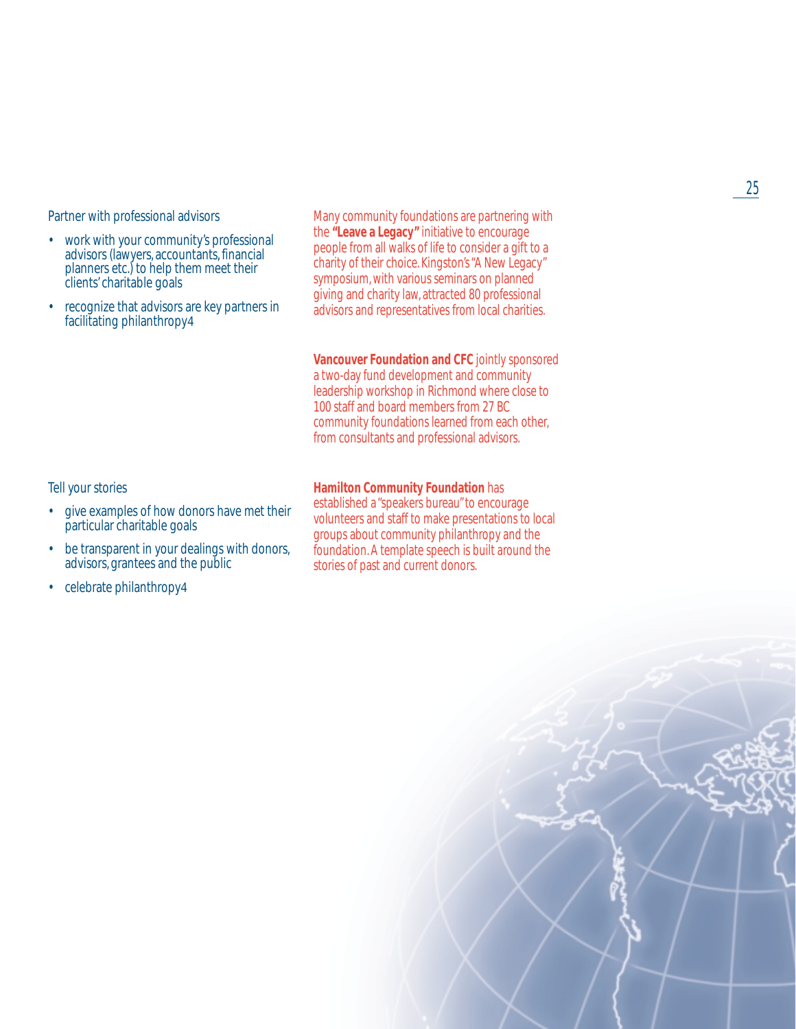Partner with professional advisors

- work with your community's professional advisors (lawyers, accountants, financial planners etc.) to help them meet their clients' charitable goals
- recognize that advisors are key partners in facilitating philanthropy4

Many community foundations are partnering with the **"Leave a Legacy"** initiative to encourage people from all walks of life to consider a gift to a charity of their choice. Kingston's "A New Legacy" symposium, with various seminars on planned giving and charity law, attracted 80 professional advisors and representatives from local charities.

#### **Vancouver Foundation and CFC** jointly sponsored

a two-day fund development and community leadership workshop in Richmond where close to 100 staff and board members from 27 BC community foundations learned from each other, from consultants and professional advisors.

Tell your stories

- give examples of how donors have met their particular charitable goals
- be transparent in your dealings with donors, advisors, grantees and the public
- celebrate philanthropy4

#### **Hamilton Community Foundation** has

established a "speakers bureau" to encourage volunteers and staff to make presentations to local groups about community philanthropy and the foundation. A template speech is built around the stories of past and current donors.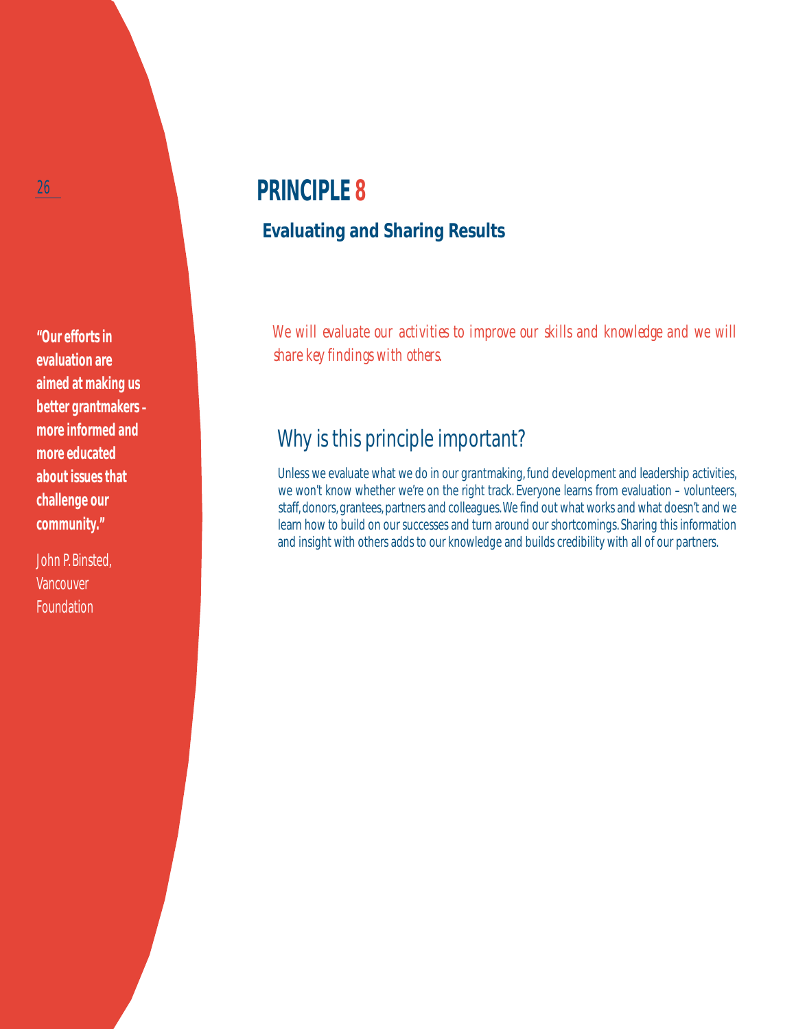**"Our efforts in evaluation are aimed at making us better grantmakers – more informed and more educated about issues that challenge our community."**

John P. Binsted, **Vancouver Foundation** 

# **PRINCIPLE 8**

## **Evaluating and Sharing Results**

We will evaluate our activities to improve our skills and knowledge and we will *share key findings with others.*

# Why is this principle important?

Unless we evaluate what we do in our grantmaking, fund development and leadership activities, we won't know whether we're on the right track. Everyone learns from evaluation – volunteers, staff, donors, grantees, partners and colleagues.We find out what works and what doesn't and we learn how to build on our successes and turn around our shortcomings. Sharing this information and insight with others adds to our knowledge and builds credibility with all of our partners.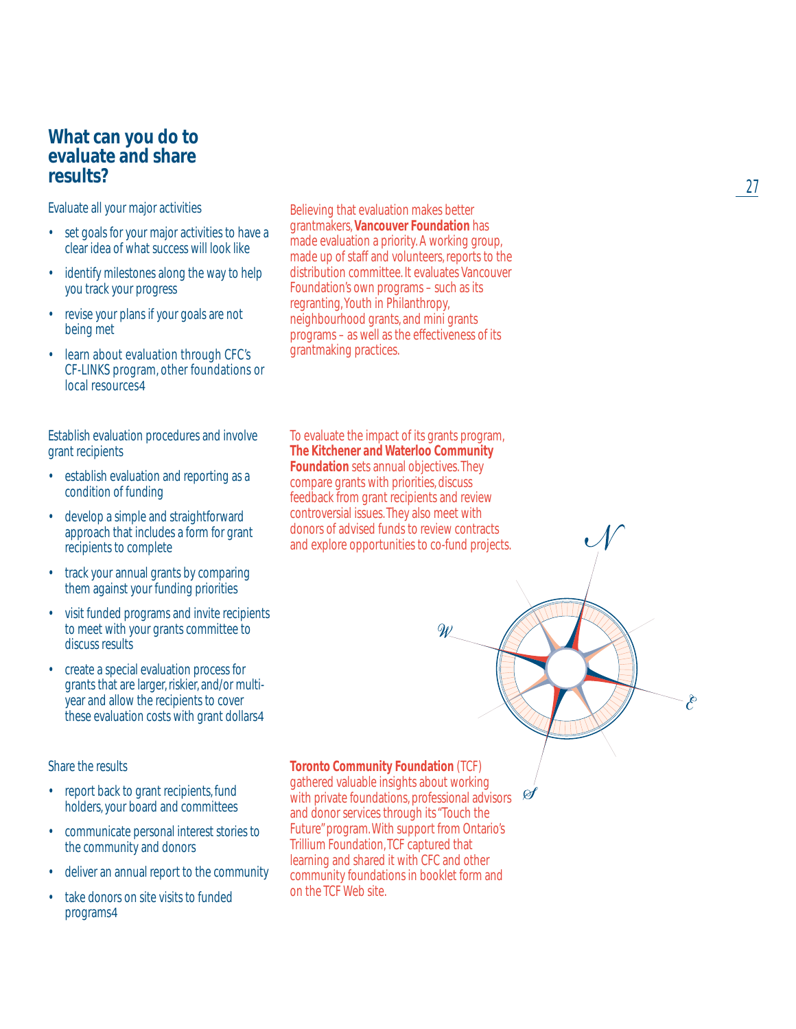### **What can you do to evaluate and share results?**

Evaluate all your major activities

- set goals for your major activities to have a clear idea of what success will look like
- identify milestones along the way to help you track your progress
- revise your plans if your goals are not being met
- learn about evaluation through CFC's CF-LINKS program, other foundations or local resources4

Establish evaluation procedures and involve grant recipients

- establish evaluation and reporting as a condition of funding
- develop a simple and straightforward approach that includes a form for grant recipients to complete
- track your annual grants by comparing them against your funding priorities
- visit funded programs and invite recipients to meet with your grants committee to discuss results
- create a special evaluation process for grants that are larger, riskier, and/or multiyear and allow the recipients to cover these evaluation costs with grant dollars4

### Share the results

- report back to grant recipients, fund holders, your board and committees
- communicate personal interest stories to the community and donors
- deliver an annual report to the community
- take donors on site visits to funded programs4

Believing that evaluation makes better grantmakers, **Vancouver Foundation** has made evaluation a priority. A working group, made up of staff and volunteers, reports to the distribution committee. It evaluates Vancouver Foundation's own programs – such as its regranting, Youth in Philanthropy, neighbourhood grants, and mini grants programs – as well as the effectiveness of its grantmaking practices.

To evaluate the impact of its grants program, **The Kitchener and Waterloo Community Foundation** sets annual objectives. They compare grants with priorities, discuss feedback from grant recipients and review controversial issues. They also meet with donors of advised funds to review contracts and explore opportunities to co-fund projects.

 $\overline{\mathscr{W}}$ 

 $\mathscr{A}$ 

**Toronto Community Foundation** (TCF)

gathered valuable insights about working with private foundations, professional advisors and donor services through its "Touch the Future" program. With support from Ontario's Trillium Foundation, TCF captured that learning and shared it with CFC and other community foundations in booklet form and on the TCF Web site.

27

È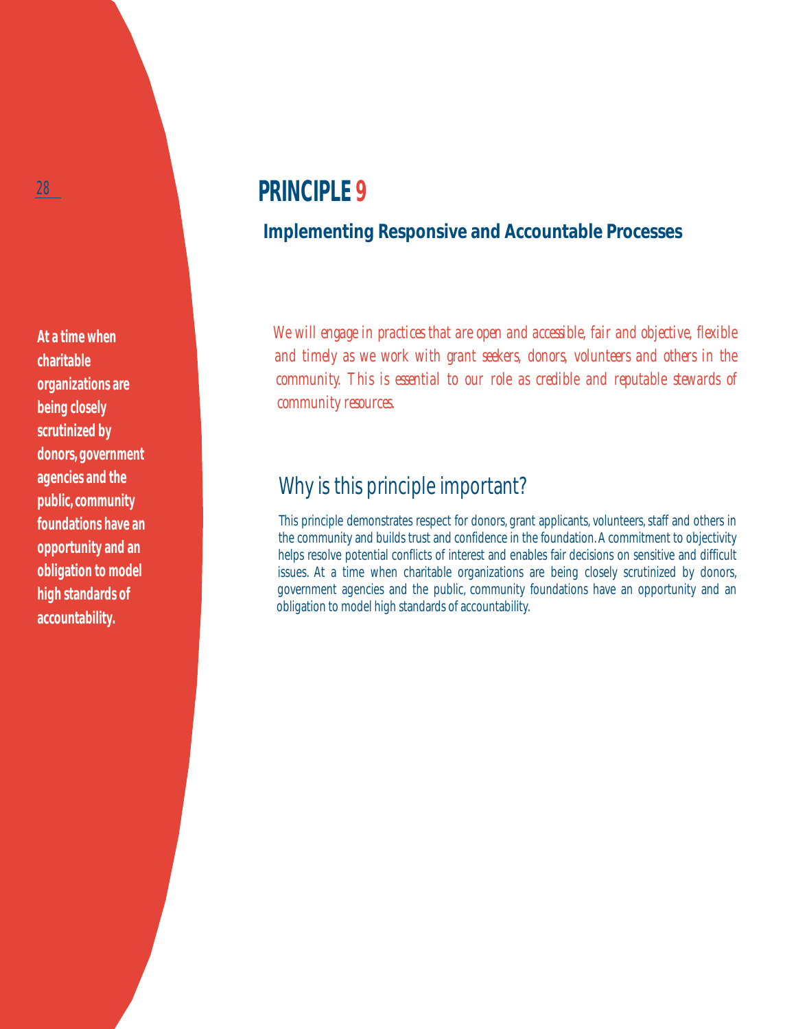**At a time when charitable organizations are being closely scrutinized by donors, government agencies and the public, community foundations have an opportunity and an obligation to model high standards of accountability.**

# **PRINCIPLE 9**

### **Implementing Responsive and Accountable Processes**

*We will engage in practices that are open and accessible, fair and objective, flexible and timely as we work with grant seekers, donors, volunteers and others in the community. This is essential to our role as credible and reputable stewards of community resources.*

## Why is this principle important?

This principle demonstrates respect for donors, grant applicants, volunteers, staff and others in the community and builds trust and confidence in the foundation. A commitment to objectivity helps resolve potential conflicts of interest and enables fair decisions on sensitive and difficult issues. At a time when charitable organizations are being closely scrutinized by donors, government agencies and the public, community foundations have an opportunity and an obligation to model high standards of accountability.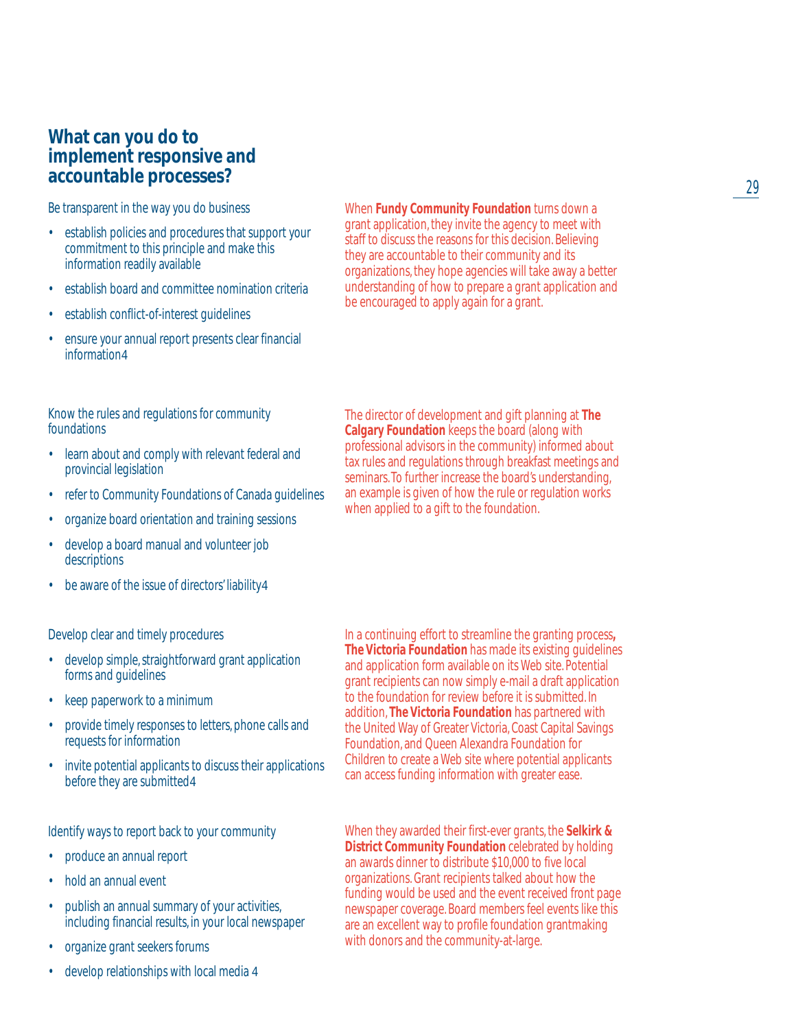### **What can you do to implement responsive and accountable processes?**

Be transparent in the way you do business

- establish policies and procedures that support your commitment to this principle and make this information readily available
- establish board and committee nomination criteria
- establish conflict-of-interest quidelines
- ensure your annual report presents clear financial information4

Know the rules and regulations for community foundations

- learn about and comply with relevant federal and provincial legislation
- refer to Community Foundations of Canada guidelines
- organize board orientation and training sessions
- develop a board manual and volunteer job descriptions
- be aware of the issue of directors' liability 4

Develop clear and timely procedures

- develop simple, straightforward grant application forms and guidelines
- keep paperwork to a minimum
- provide timely responses to letters, phone calls and requests for information
- invite potential applicants to discuss their applications before they are submitted4

Identify ways to report back to your community

- produce an annual report
- hold an annual event
- publish an annual summary of your activities, including financial results, in your local newspaper
- organize grant seekers forums
- develop relationships with local media 4

When **Fundy Community Foundation** turns down a grant application, they invite the agency to meet with staff to discuss the reasons for this decision. Believing they are accountable to their community and its organizations, they hope agencies will take away a better understanding of how to prepare a grant application and be encouraged to apply again for a grant.

The director of development and gift planning at **The Calgary Foundation** keeps the board (along with professional advisors in the community) informed about tax rules and regulations through breakfast meetings and seminars. To further increase the board's understanding, an example is given of how the rule or regulation works when applied to a gift to the foundation.

In a continuing effort to streamline the granting process**, The Victoria Foundation** has made its existing guidelines and application form available on its Web site. Potential grant recipients can now simply e-mail a draft application to the foundation for review before it is submitted. In addition, **The Victoria Foundation** has partnered with the United Way of Greater Victoria, Coast Capital Savings Foundation, and Queen Alexandra Foundation for Children to create a Web site where potential applicants can access funding information with greater ease.

When they awarded their first-ever grants, the **Selkirk & District Community Foundation** celebrated by holding an awards dinner to distribute \$10,000 to five local organizations. Grant recipients talked about how the funding would be used and the event received front page newspaper coverage. Board members feel events like this are an excellent way to profile foundation grantmaking with donors and the community-at-large.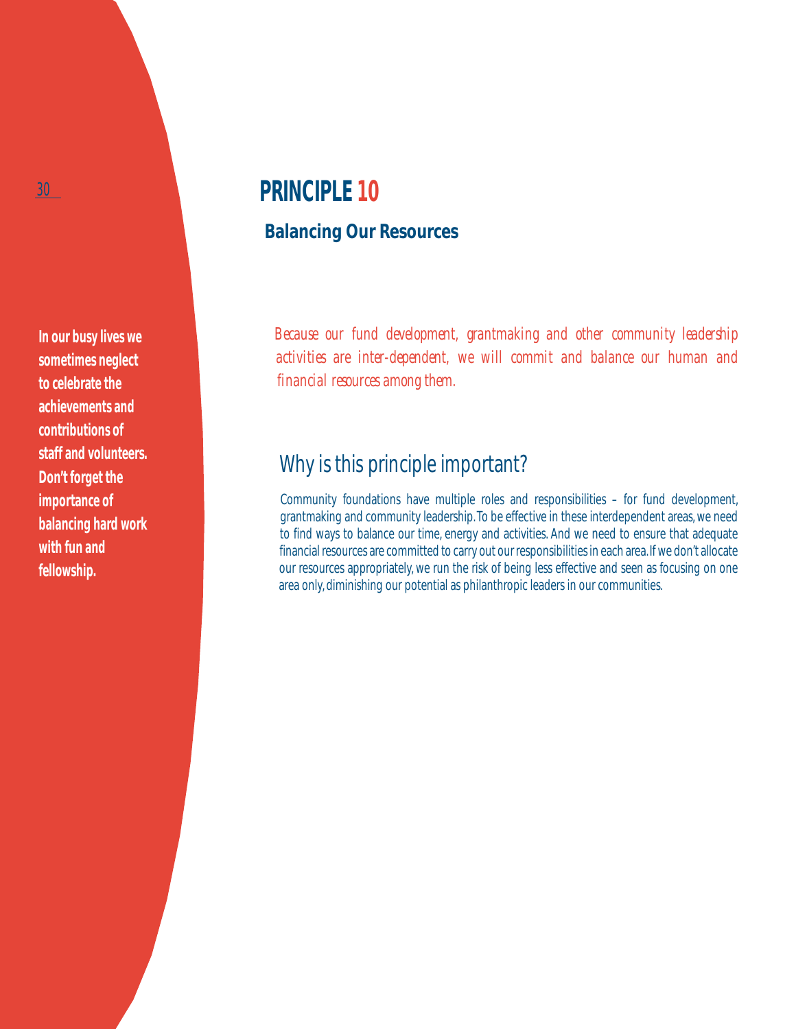**In our busy lives we sometimes neglect to celebrate the achievements and contributions of staff and volunteers. Don't forget the importance of balancing hard work with fun and fellowship.**

# **PRINCIPLE 10**

### **Balancing Our Resources**

*Because our fund development, grantmaking and other community leadership activities are inter-dependent, we will commit and balance our human and financial resources among them.*

## Why is this principle important?

Community foundations have multiple roles and responsibilities – for fund development, grantmaking and community leadership. To be effective in these interdependent areas, we need to find ways to balance our time, energy and activities. And we need to ensure that adequate financial resources are committed to carry out our responsibilities in each area. If we don't allocate our resources appropriately, we run the risk of being less effective and seen as focusing on one area only, diminishing our potential as philanthropic leaders in our communities.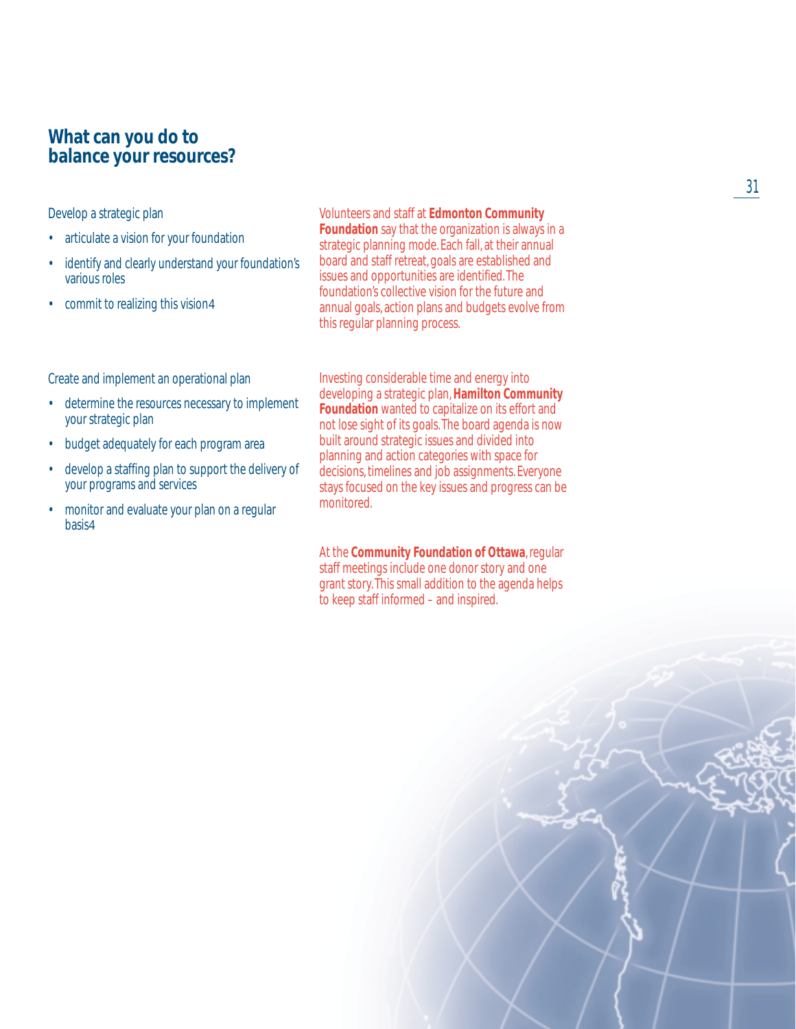### **What can you do to balance your resources?**

Develop a strategic plan

- articulate a vision for your foundation
- identify and clearly understand your foundation's various roles
- commit to realizing this vision 4

Volunteers and staff at **Edmonton Community Foundation** say that the organization is always in a strategic planning mode. Each fall, at their annual board and staff retreat, goals are established and issues and opportunities are identified. The foundation's collective vision for the future and annual goals, action plans and budgets evolve from this regular planning process.

Create and implement an operational plan

- determine the resources necessary to implement your strategic plan
- budget adequately for each program area
- develop a staffing plan to support the delivery of your programs and services
- monitor and evaluate your plan on a regular basis4

Investing considerable time and energy into developing a strategic plan,**Hamilton Community Foundation** wanted to capitalize on its effort and not lose sight of its goals. The board agenda is now built around strategic issues and divided into planning and action categories with space for decisions, timelines and job assignments. Everyone stays focused on the key issues and progress can be monitored.

At the **Community Foundation of Ottawa**, regular staff meetings include one donor story and one grant story. This small addition to the agenda helps to keep staff informed – and inspired.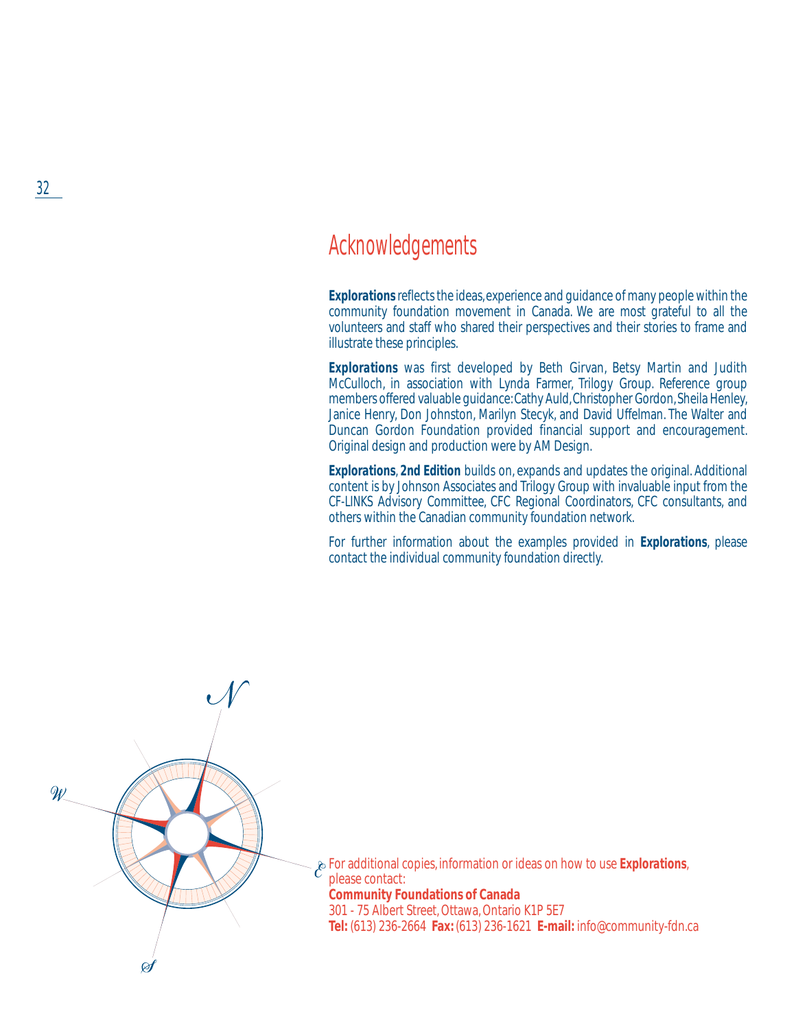## Acknowledgements

*Explorations* reflects the ideas, experience and guidance of many people within the community foundation movement in Canada. We are most grateful to all the volunteers and staff who shared their perspectives and their stories to frame and illustrate these principles.

*Explorations* was first developed by Beth Girvan, Betsy Martin and Judith McCulloch, in association with Lynda Farmer, Trilogy Group. Reference group members offered valuable guidance: Cathy Auld, Christopher Gordon, Sheila Henley, Janice Henry, Don Johnston, Marilyn Stecyk, and David Uffelman. The Walter and Duncan Gordon Foundation provided financial support and encouragement. Original design and production were by AM Design.

*Explorations*, *2nd Edition* builds on, expands and updates the original. Additional content is by Johnson Associates and Trilogy Group with invaluable input from the *CF-LINKS* Advisory Committee, CFC Regional Coordinators, CFC consultants, and others within the Canadian community foundation network.

For further information about the examples provided in *Explorations*, please contact the individual community foundation directly.



For additional copies, information or ideas on how to use *Explorations*, please contact: **Community Foundations of Canada** 301 - 75 Albert Street, Ottawa, Ontario K1P 5E7 **Tel:** (613) 236-2664 **Fax:** (613) 236-1621 **E-mail:** info@community-fdn.ca

32